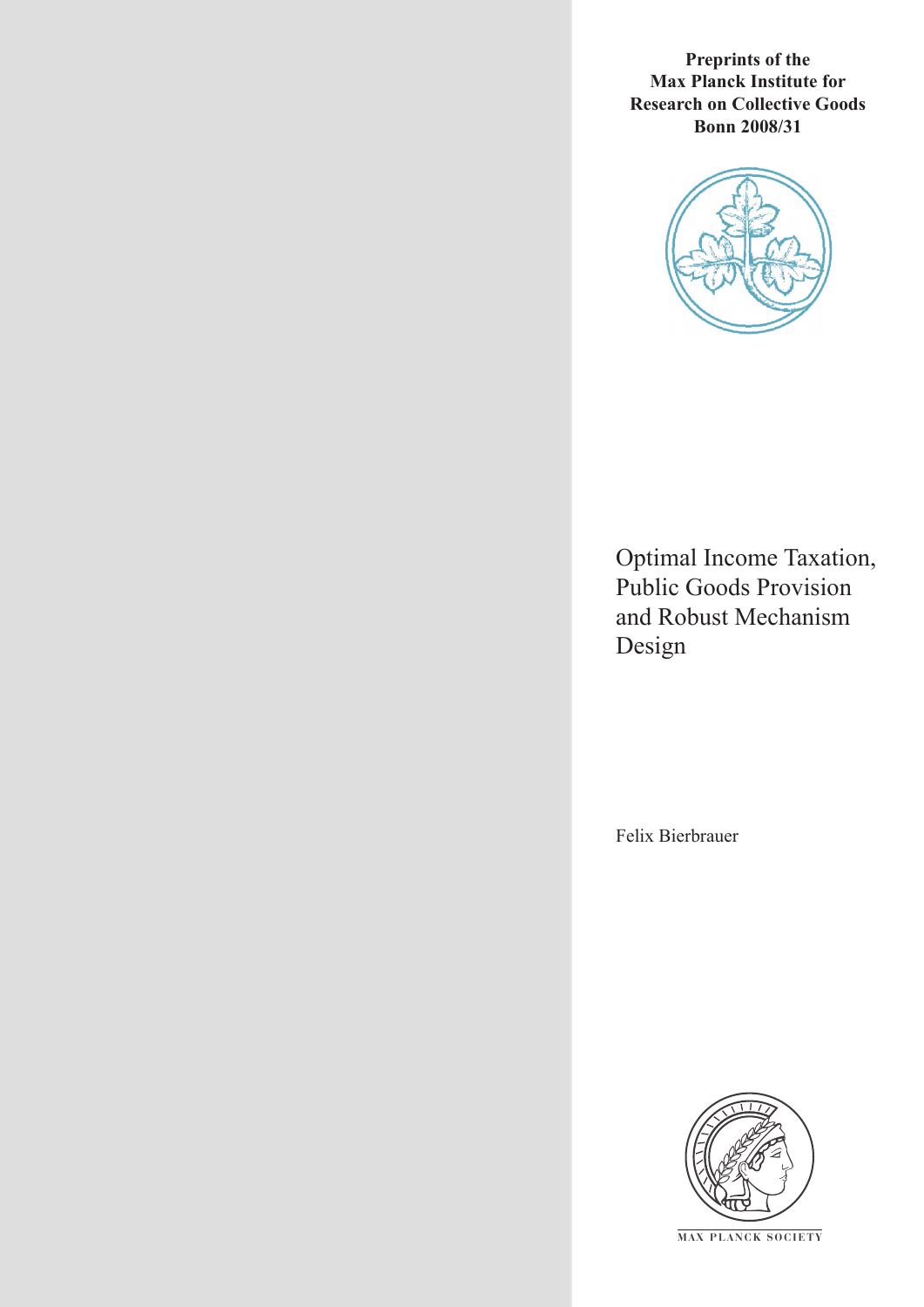**Preprints of the Max Planck Institute for Research on Collective Goods Bonn 2008/31**



Optimal Income Taxation, Public Goods Provision and Robust Mechanism Design

Felix Bierbrauer



**M AX P L A N C K S O C I E T Y**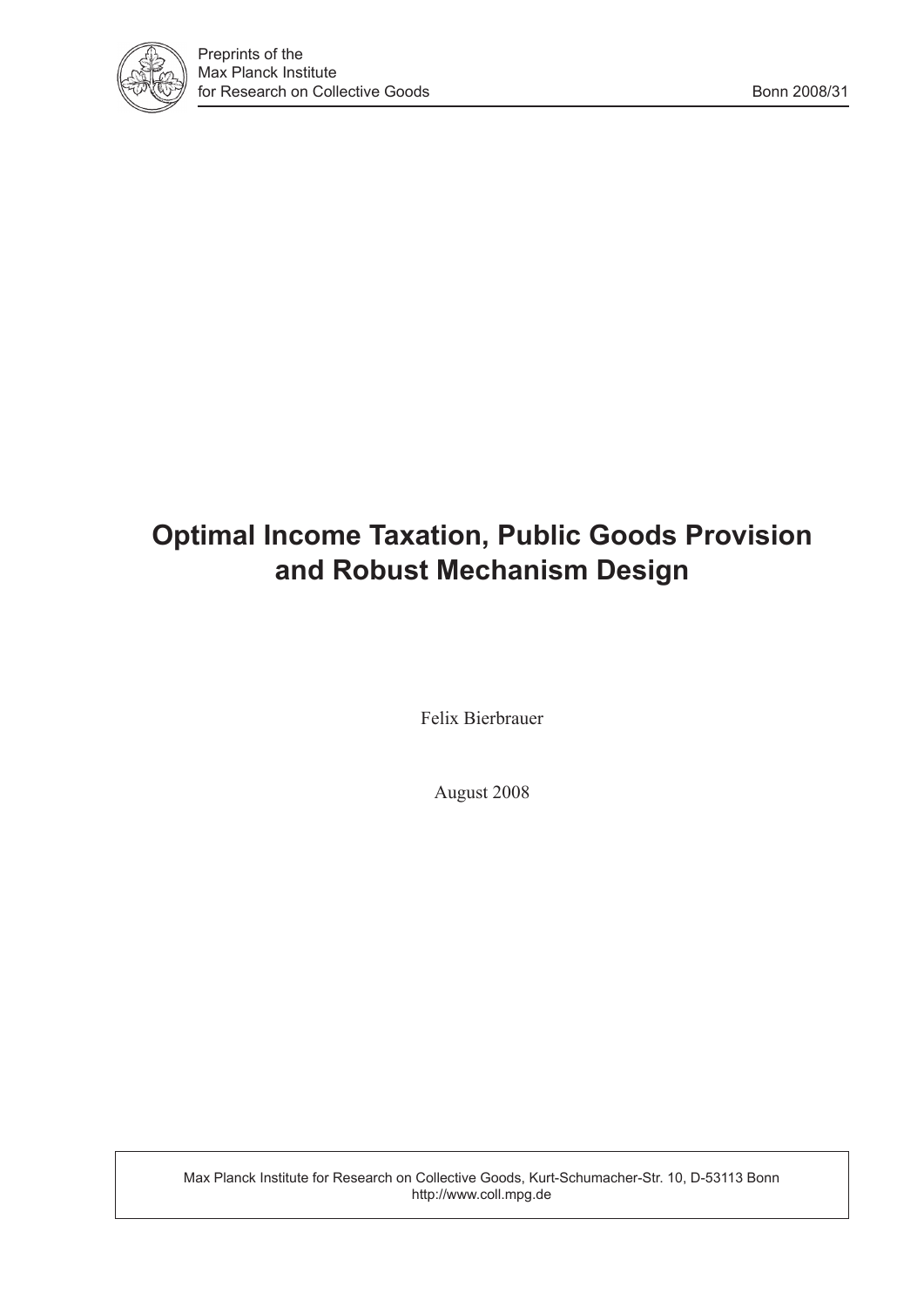

# **Optimal Income Taxation, Public Goods Provision and Robust Mechanism Design**

Felix Bierbrauer

August 2008

Max Planck Institute for Research on Collective Goods, Kurt-Schumacher-Str. 10, D-53113 Bonn http://www.coll.mpg.de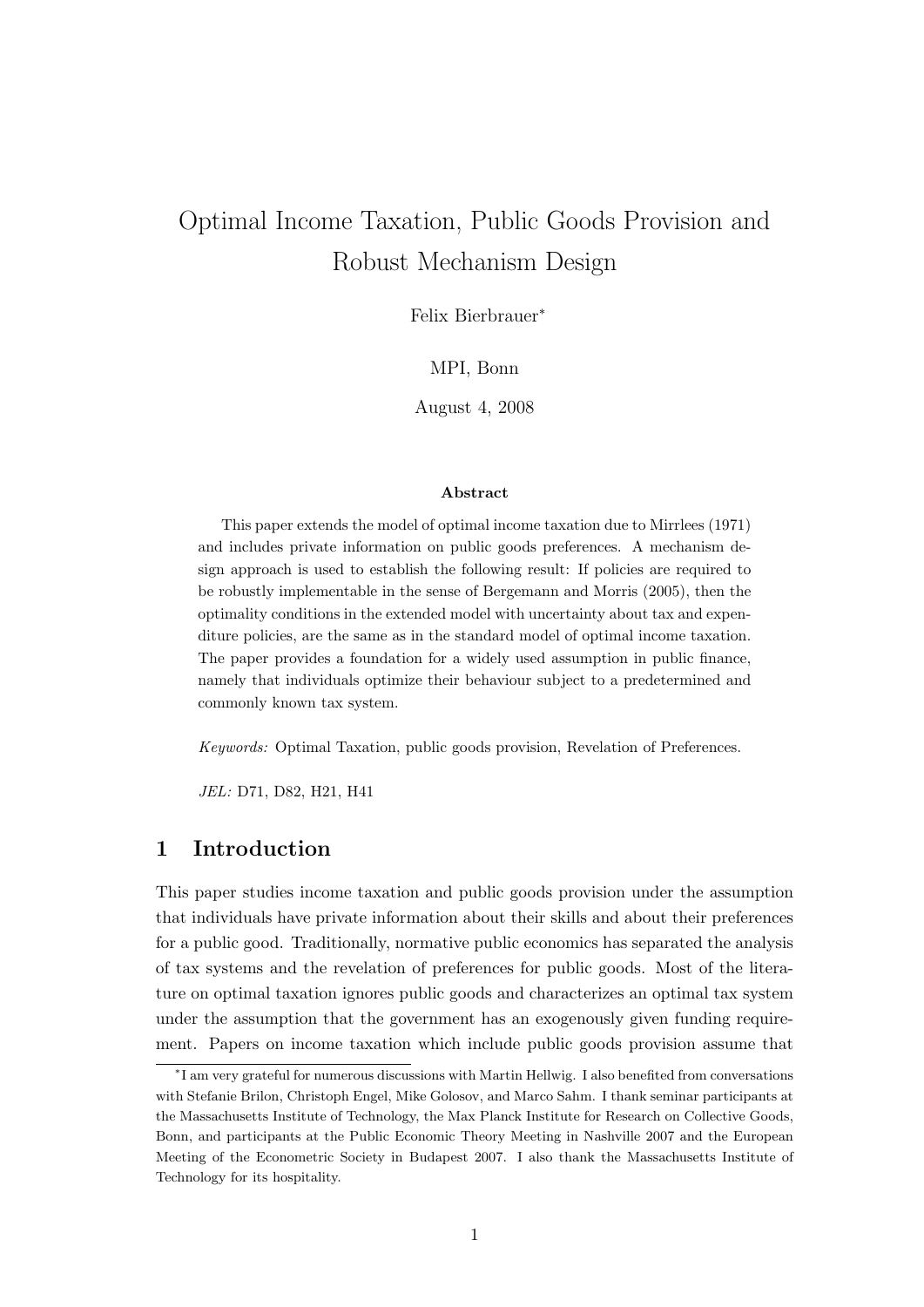# Optimal Income Taxation, Public Goods Provision and Robust Mechanism Design

Felix Bierbrauer<sup>∗</sup>

MPI, Bonn

August 4, 2008

#### Abstract

This paper extends the model of optimal income taxation due to Mirrlees (1971) and includes private information on public goods preferences. A mechanism design approach is used to establish the following result: If policies are required to be robustly implementable in the sense of Bergemann and Morris (2005), then the optimality conditions in the extended model with uncertainty about tax and expenditure policies, are the same as in the standard model of optimal income taxation. The paper provides a foundation for a widely used assumption in public finance, namely that individuals optimize their behaviour subject to a predetermined and commonly known tax system.

Keywords: Optimal Taxation, public goods provision, Revelation of Preferences.

JEL: D71, D82, H21, H41

## 1 Introduction

This paper studies income taxation and public goods provision under the assumption that individuals have private information about their skills and about their preferences for a public good. Traditionally, normative public economics has separated the analysis of tax systems and the revelation of preferences for public goods. Most of the literature on optimal taxation ignores public goods and characterizes an optimal tax system under the assumption that the government has an exogenously given funding requirement. Papers on income taxation which include public goods provision assume that

<sup>∗</sup> I am very grateful for numerous discussions with Martin Hellwig. I also benefited from conversations with Stefanie Brilon, Christoph Engel, Mike Golosov, and Marco Sahm. I thank seminar participants at the Massachusetts Institute of Technology, the Max Planck Institute for Research on Collective Goods, Bonn, and participants at the Public Economic Theory Meeting in Nashville 2007 and the European Meeting of the Econometric Society in Budapest 2007. I also thank the Massachusetts Institute of Technology for its hospitality.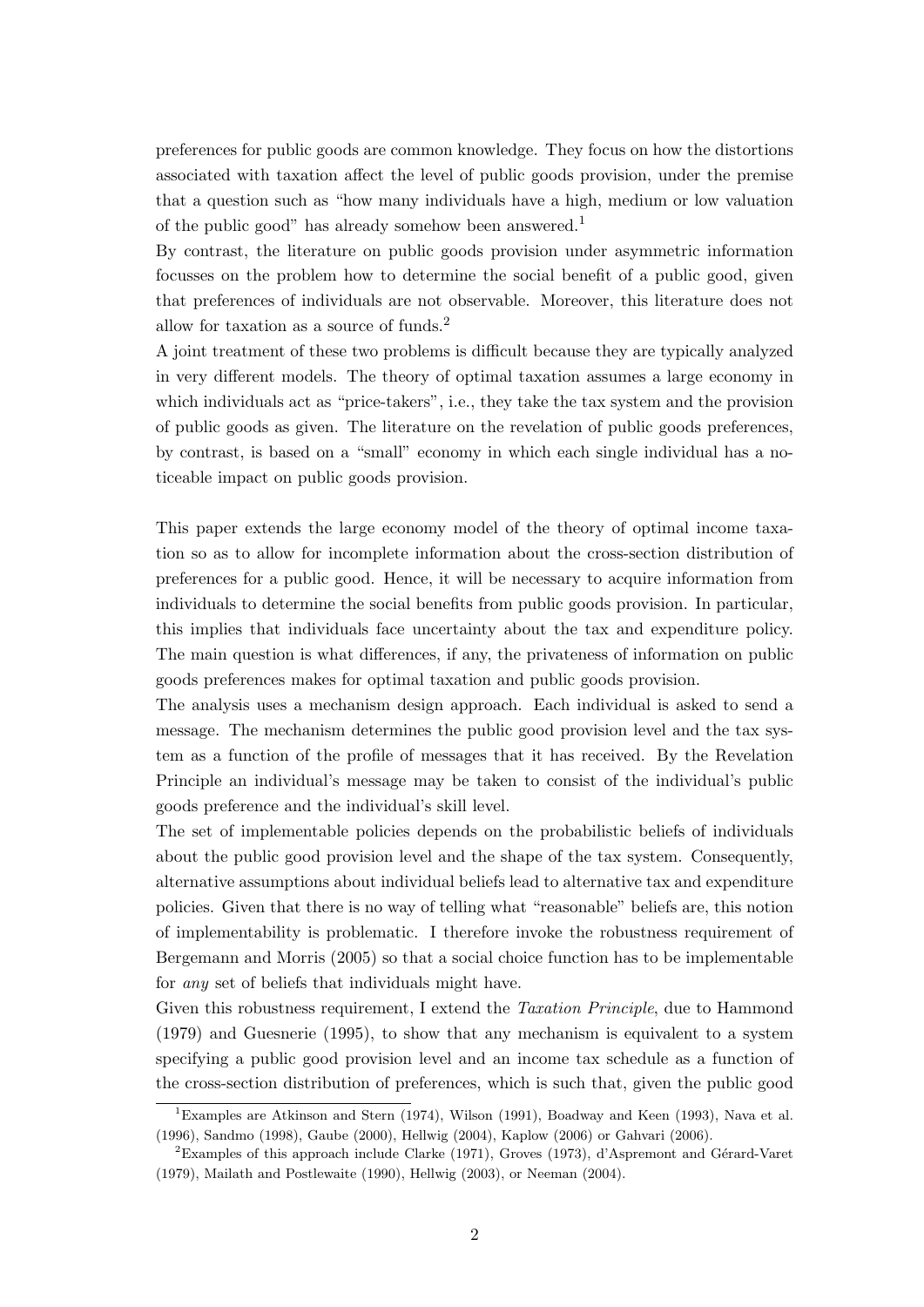preferences for public goods are common knowledge. They focus on how the distortions associated with taxation affect the level of public goods provision, under the premise that a question such as "how many individuals have a high, medium or low valuation of the public good" has already somehow been answered.<sup>1</sup>

By contrast, the literature on public goods provision under asymmetric information focusses on the problem how to determine the social benefit of a public good, given that preferences of individuals are not observable. Moreover, this literature does not allow for taxation as a source of funds.<sup>2</sup>

A joint treatment of these two problems is difficult because they are typically analyzed in very different models. The theory of optimal taxation assumes a large economy in which individuals act as "price-takers", i.e., they take the tax system and the provision of public goods as given. The literature on the revelation of public goods preferences, by contrast, is based on a "small" economy in which each single individual has a noticeable impact on public goods provision.

This paper extends the large economy model of the theory of optimal income taxation so as to allow for incomplete information about the cross-section distribution of preferences for a public good. Hence, it will be necessary to acquire information from individuals to determine the social benefits from public goods provision. In particular, this implies that individuals face uncertainty about the tax and expenditure policy. The main question is what differences, if any, the privateness of information on public goods preferences makes for optimal taxation and public goods provision.

The analysis uses a mechanism design approach. Each individual is asked to send a message. The mechanism determines the public good provision level and the tax system as a function of the profile of messages that it has received. By the Revelation Principle an individual's message may be taken to consist of the individual's public goods preference and the individual's skill level.

The set of implementable policies depends on the probabilistic beliefs of individuals about the public good provision level and the shape of the tax system. Consequently, alternative assumptions about individual beliefs lead to alternative tax and expenditure policies. Given that there is no way of telling what "reasonable" beliefs are, this notion of implementability is problematic. I therefore invoke the robustness requirement of Bergemann and Morris (2005) so that a social choice function has to be implementable for any set of beliefs that individuals might have.

Given this robustness requirement, I extend the *Taxation Principle*, due to Hammond (1979) and Guesnerie (1995), to show that any mechanism is equivalent to a system specifying a public good provision level and an income tax schedule as a function of the cross-section distribution of preferences, which is such that, given the public good

<sup>&</sup>lt;sup>1</sup>Examples are Atkinson and Stern (1974), Wilson (1991), Boadway and Keen (1993), Nava et al. (1996), Sandmo (1998), Gaube (2000), Hellwig (2004), Kaplow (2006) or Gahvari (2006).

<sup>&</sup>lt;sup>2</sup>Examples of this approach include Clarke (1971), Groves (1973), d'Aspremont and Gérard-Varet (1979), Mailath and Postlewaite (1990), Hellwig (2003), or Neeman (2004).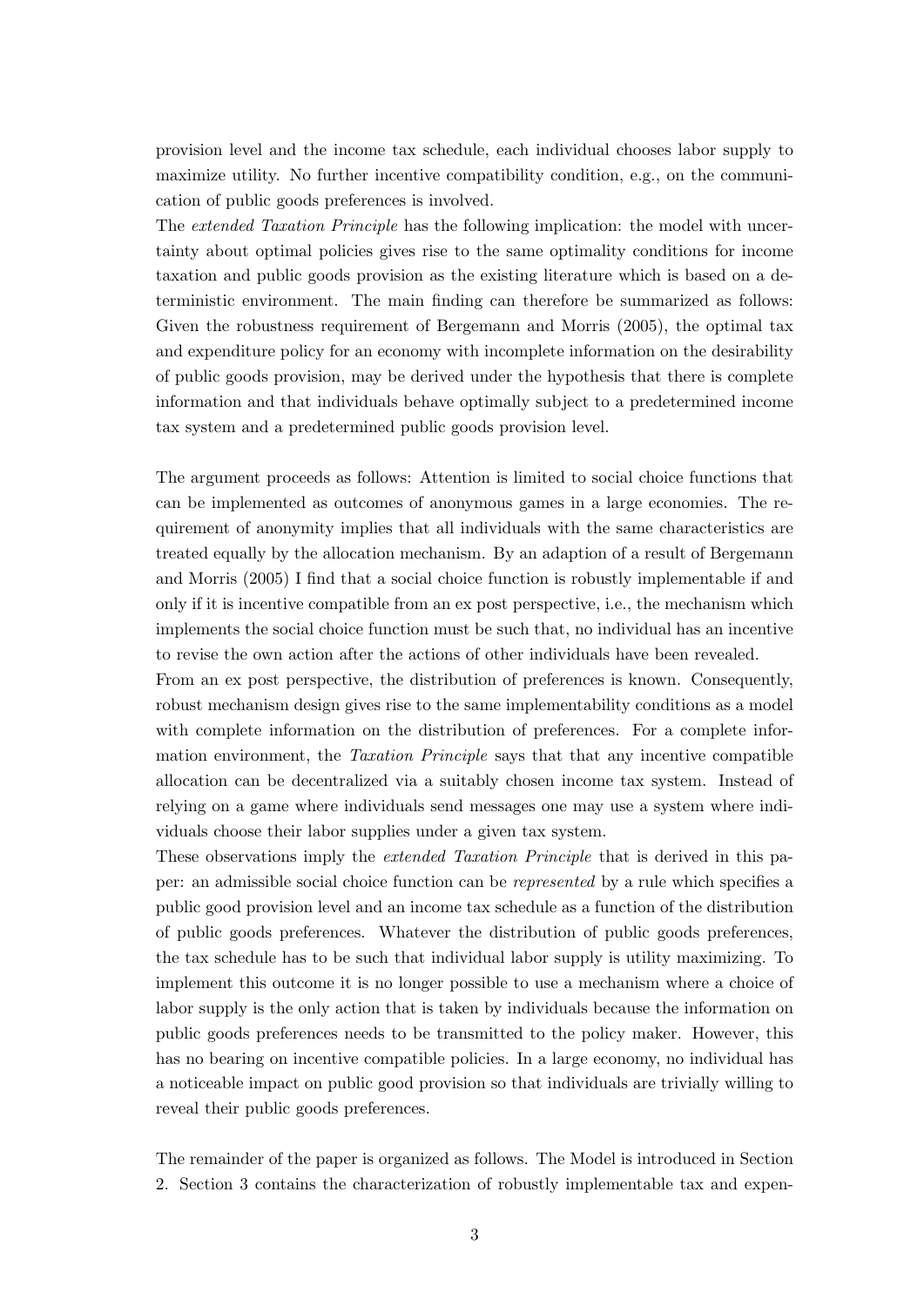provision level and the income tax schedule, each individual chooses labor supply to maximize utility. No further incentive compatibility condition, e.g., on the communication of public goods preferences is involved.

The extended Taxation Principle has the following implication: the model with uncertainty about optimal policies gives rise to the same optimality conditions for income taxation and public goods provision as the existing literature which is based on a deterministic environment. The main finding can therefore be summarized as follows: Given the robustness requirement of Bergemann and Morris (2005), the optimal tax and expenditure policy for an economy with incomplete information on the desirability of public goods provision, may be derived under the hypothesis that there is complete information and that individuals behave optimally subject to a predetermined income tax system and a predetermined public goods provision level.

The argument proceeds as follows: Attention is limited to social choice functions that can be implemented as outcomes of anonymous games in a large economies. The requirement of anonymity implies that all individuals with the same characteristics are treated equally by the allocation mechanism. By an adaption of a result of Bergemann and Morris (2005) I find that a social choice function is robustly implementable if and only if it is incentive compatible from an ex post perspective, i.e., the mechanism which implements the social choice function must be such that, no individual has an incentive to revise the own action after the actions of other individuals have been revealed.

From an ex post perspective, the distribution of preferences is known. Consequently, robust mechanism design gives rise to the same implementability conditions as a model with complete information on the distribution of preferences. For a complete information environment, the Taxation Principle says that that any incentive compatible allocation can be decentralized via a suitably chosen income tax system. Instead of relying on a game where individuals send messages one may use a system where individuals choose their labor supplies under a given tax system.

These observations imply the extended Taxation Principle that is derived in this paper: an admissible social choice function can be represented by a rule which specifies a public good provision level and an income tax schedule as a function of the distribution of public goods preferences. Whatever the distribution of public goods preferences, the tax schedule has to be such that individual labor supply is utility maximizing. To implement this outcome it is no longer possible to use a mechanism where a choice of labor supply is the only action that is taken by individuals because the information on public goods preferences needs to be transmitted to the policy maker. However, this has no bearing on incentive compatible policies. In a large economy, no individual has a noticeable impact on public good provision so that individuals are trivially willing to reveal their public goods preferences.

The remainder of the paper is organized as follows. The Model is introduced in Section 2. Section 3 contains the characterization of robustly implementable tax and expen-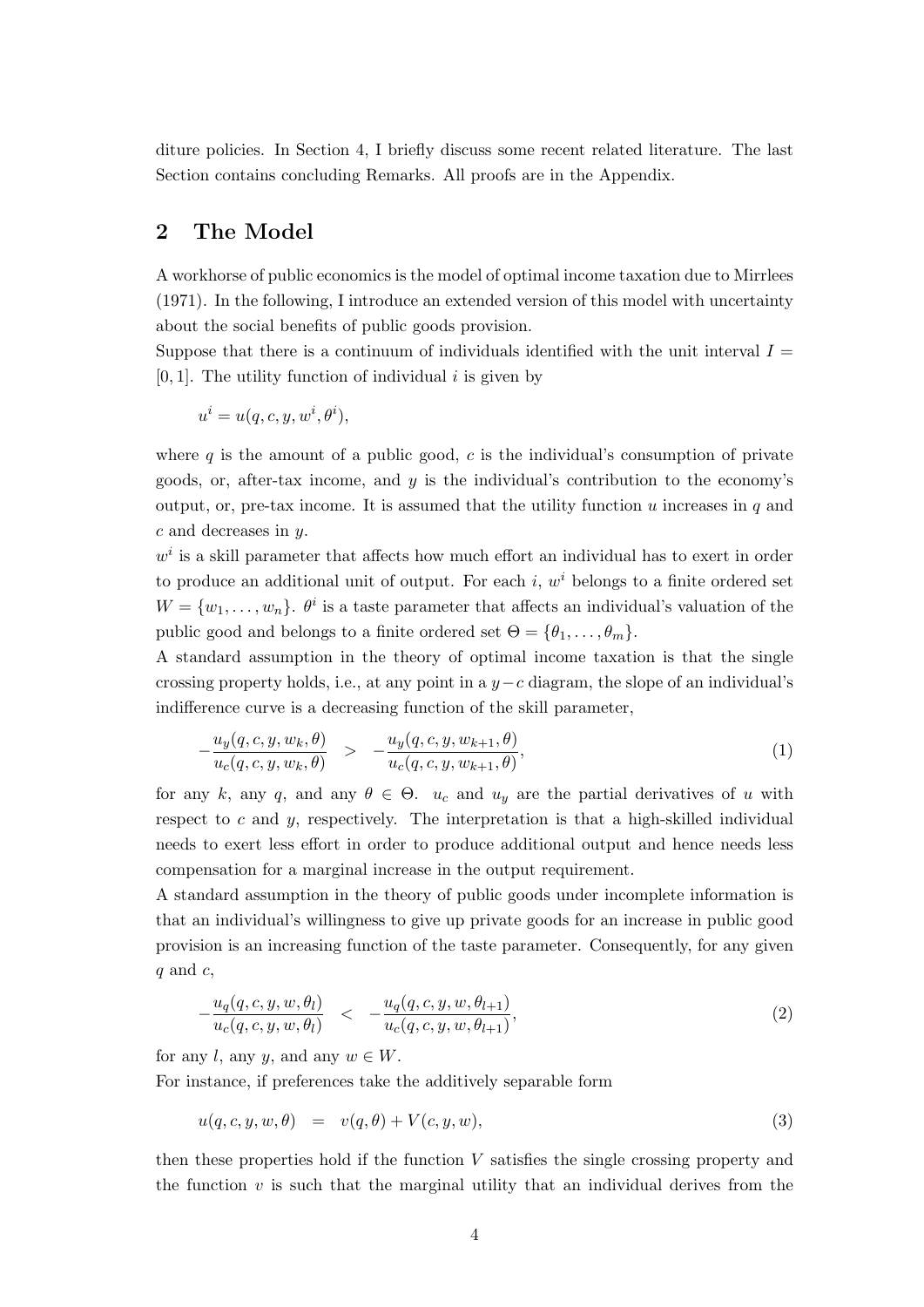diture policies. In Section 4, I briefly discuss some recent related literature. The last Section contains concluding Remarks. All proofs are in the Appendix.

## 2 The Model

A workhorse of public economics is the model of optimal income taxation due to Mirrlees (1971). In the following, I introduce an extended version of this model with uncertainty about the social benefits of public goods provision.

Suppose that there is a continuum of individuals identified with the unit interval  $I =$  $[0, 1]$ . The utility function of individual i is given by

$$
u^i = u(q, c, y, w^i, \theta^i),
$$

where  $q$  is the amount of a public good,  $c$  is the individual's consumption of private goods, or, after-tax income, and  $y$  is the individual's contribution to the economy's output, or, pre-tax income. It is assumed that the utility function  $u$  increases in  $q$  and c and decreases in y.

 $w<sup>i</sup>$  is a skill parameter that affects how much effort an individual has to exert in order to produce an additional unit of output. For each  $i, w<sup>i</sup>$  belongs to a finite ordered set  $W = \{w_1, \ldots, w_n\}$ .  $\theta^i$  is a taste parameter that affects an individual's valuation of the public good and belongs to a finite ordered set  $\Theta = {\theta_1, \ldots, \theta_m}$ .

A standard assumption in the theory of optimal income taxation is that the single crossing property holds, i.e., at any point in a  $y-c$  diagram, the slope of an individual's indifference curve is a decreasing function of the skill parameter,

$$
-\frac{u_y(q,c,y,w_k,\theta)}{u_c(q,c,y,w_k,\theta)} > -\frac{u_y(q,c,y,w_{k+1},\theta)}{u_c(q,c,y,w_{k+1},\theta)},
$$
\n(1)

for any k, any q, and any  $\theta \in \Theta$ .  $u_c$  and  $u_y$  are the partial derivatives of u with respect to  $c$  and  $y$ , respectively. The interpretation is that a high-skilled individual needs to exert less effort in order to produce additional output and hence needs less compensation for a marginal increase in the output requirement.

A standard assumption in the theory of public goods under incomplete information is that an individual's willingness to give up private goods for an increase in public good provision is an increasing function of the taste parameter. Consequently, for any given  $q$  and  $c$ ,

$$
-\frac{u_q(q,c,y,w,\theta_l)}{u_c(q,c,y,w,\theta_l)} \quad < \quad -\frac{u_q(q,c,y,w,\theta_{l+1})}{u_c(q,c,y,w,\theta_{l+1})},\tag{2}
$$

for any l, any  $y$ , and any  $w \in W$ .

For instance, if preferences take the additively separable form

$$
u(q,c,y,w,\theta) = v(q,\theta) + V(c,y,w), \qquad (3)
$$

then these properties hold if the function  $V$  satisfies the single crossing property and the function  $v$  is such that the marginal utility that an individual derives from the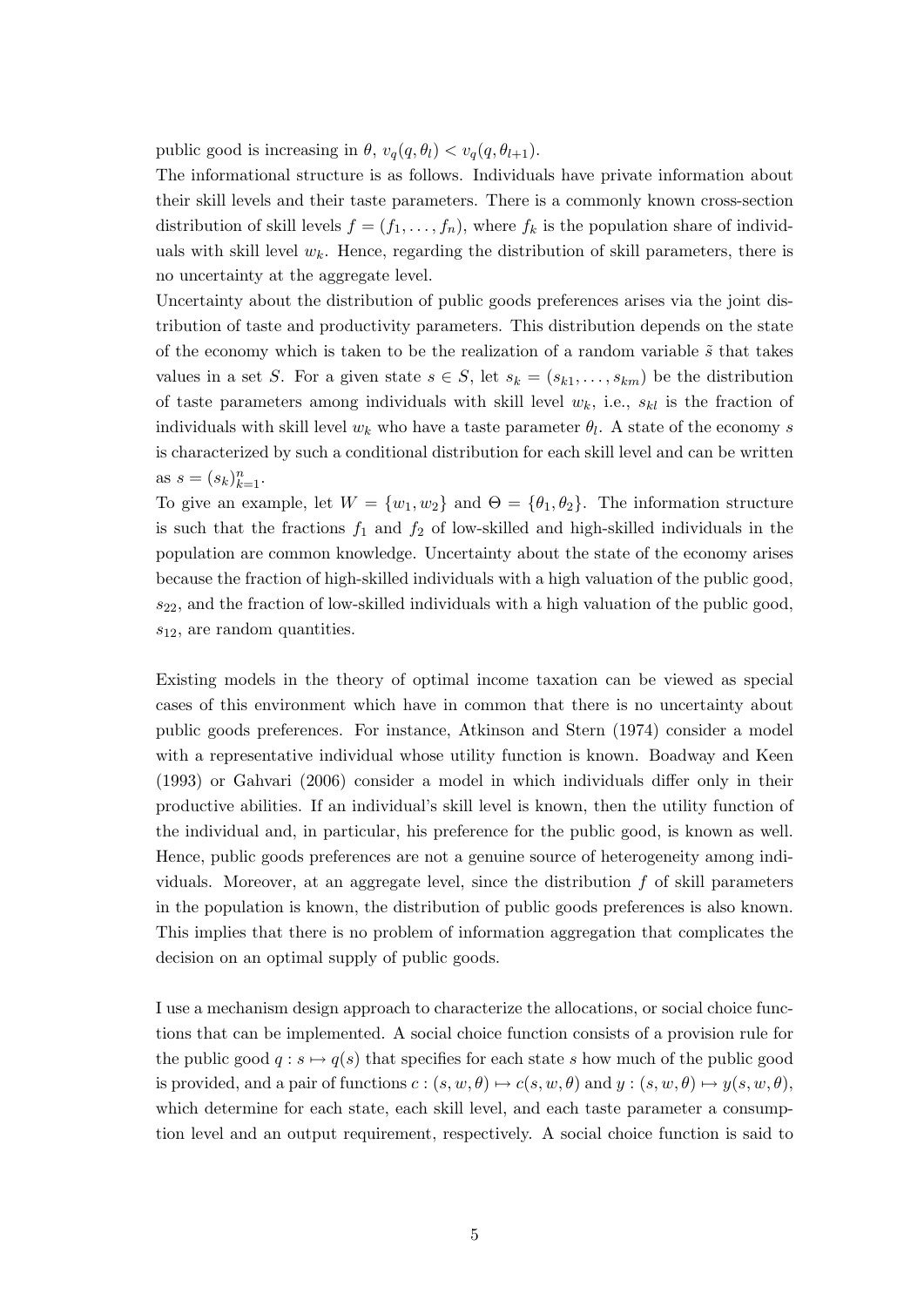public good is increasing in  $\theta$ ,  $v_q(q, \theta_l) < v_q(q, \theta_{l+1})$ .

The informational structure is as follows. Individuals have private information about their skill levels and their taste parameters. There is a commonly known cross-section distribution of skill levels  $f = (f_1, \ldots, f_n)$ , where  $f_k$  is the population share of individuals with skill level  $w_k$ . Hence, regarding the distribution of skill parameters, there is no uncertainty at the aggregate level.

Uncertainty about the distribution of public goods preferences arises via the joint distribution of taste and productivity parameters. This distribution depends on the state of the economy which is taken to be the realization of a random variable  $\tilde{s}$  that takes values in a set S. For a given state  $s \in S$ , let  $s_k = (s_{k1}, \ldots, s_{km})$  be the distribution of taste parameters among individuals with skill level  $w_k$ , i.e.,  $s_{kl}$  is the fraction of individuals with skill level  $w_k$  who have a taste parameter  $\theta_l$ . A state of the economy s is characterized by such a conditional distribution for each skill level and can be written as  $s = (s_k)_{k=1}^n$ .

To give an example, let  $W = \{w_1, w_2\}$  and  $\Theta = \{\theta_1, \theta_2\}$ . The information structure is such that the fractions  $f_1$  and  $f_2$  of low-skilled and high-skilled individuals in the population are common knowledge. Uncertainty about the state of the economy arises because the fraction of high-skilled individuals with a high valuation of the public good,  $s_{22}$ , and the fraction of low-skilled individuals with a high valuation of the public good,  $s_{12}$ , are random quantities.

Existing models in the theory of optimal income taxation can be viewed as special cases of this environment which have in common that there is no uncertainty about public goods preferences. For instance, Atkinson and Stern (1974) consider a model with a representative individual whose utility function is known. Boadway and Keen (1993) or Gahvari (2006) consider a model in which individuals differ only in their productive abilities. If an individual's skill level is known, then the utility function of the individual and, in particular, his preference for the public good, is known as well. Hence, public goods preferences are not a genuine source of heterogeneity among individuals. Moreover, at an aggregate level, since the distribution  $f$  of skill parameters in the population is known, the distribution of public goods preferences is also known. This implies that there is no problem of information aggregation that complicates the decision on an optimal supply of public goods.

I use a mechanism design approach to characterize the allocations, or social choice functions that can be implemented. A social choice function consists of a provision rule for the public good  $q : s \mapsto q(s)$  that specifies for each state s how much of the public good is provided, and a pair of functions  $c : (s, w, \theta) \mapsto c(s, w, \theta)$  and  $y : (s, w, \theta) \mapsto y(s, w, \theta)$ , which determine for each state, each skill level, and each taste parameter a consumption level and an output requirement, respectively. A social choice function is said to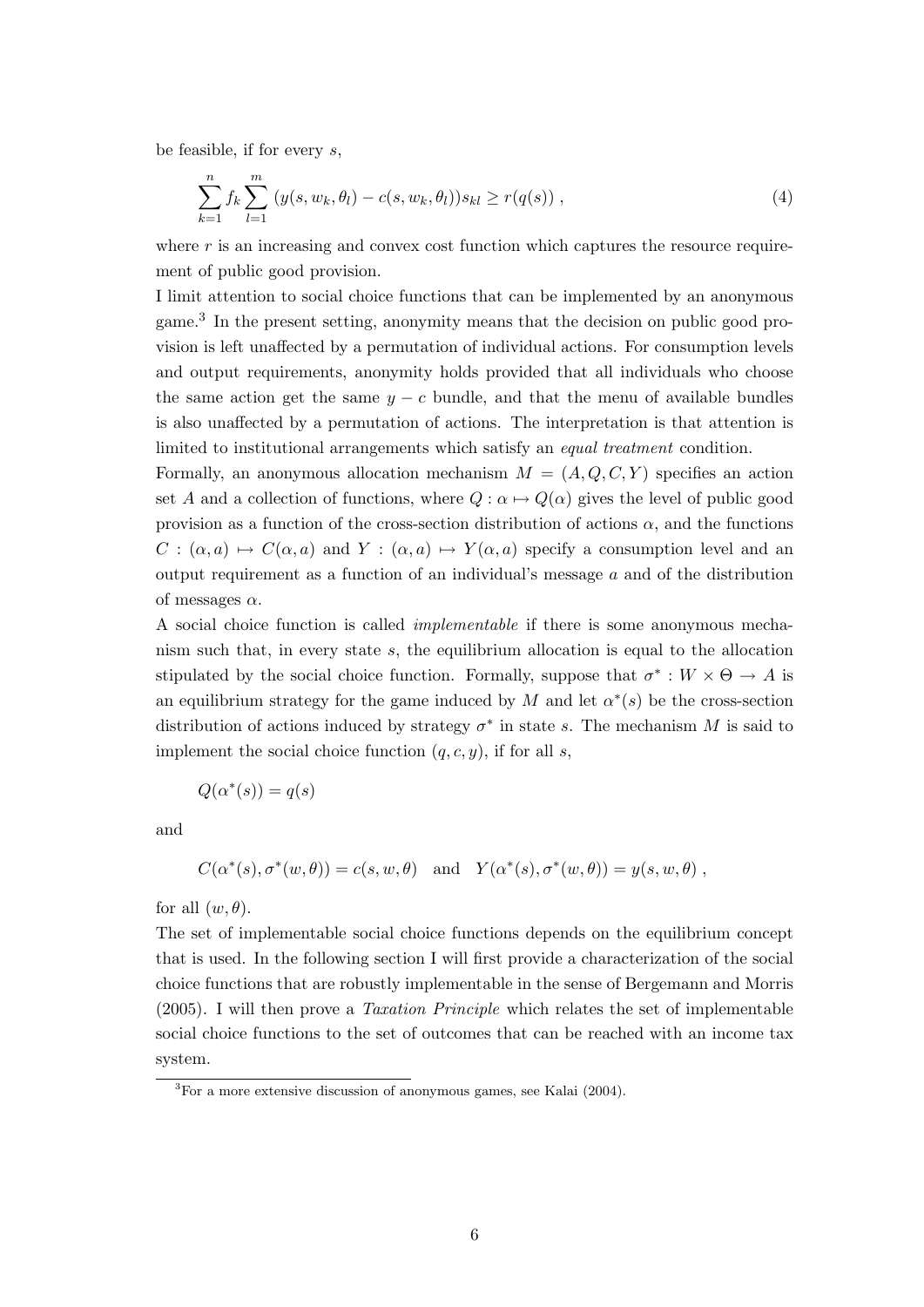be feasible, if for every s,

$$
\sum_{k=1}^{n} f_k \sum_{l=1}^{m} (y(s, w_k, \theta_l) - c(s, w_k, \theta_l)) s_{kl} \ge r(q(s)),
$$
\n(4)

where  $r$  is an increasing and convex cost function which captures the resource requirement of public good provision.

I limit attention to social choice functions that can be implemented by an anonymous game.<sup>3</sup> In the present setting, anonymity means that the decision on public good provision is left unaffected by a permutation of individual actions. For consumption levels and output requirements, anonymity holds provided that all individuals who choose the same action get the same  $y - c$  bundle, and that the menu of available bundles is also unaffected by a permutation of actions. The interpretation is that attention is limited to institutional arrangements which satisfy an equal treatment condition.

Formally, an anonymous allocation mechanism  $M = (A, Q, C, Y)$  specifies an action set A and a collection of functions, where  $Q : \alpha \mapsto Q(\alpha)$  gives the level of public good provision as a function of the cross-section distribution of actions  $\alpha$ , and the functions  $C : (\alpha, a) \mapsto C(\alpha, a)$  and  $Y : (\alpha, a) \mapsto Y(\alpha, a)$  specify a consumption level and an output requirement as a function of an individual's message  $a$  and of the distribution of messages  $\alpha$ .

A social choice function is called implementable if there is some anonymous mechanism such that, in every state  $s$ , the equilibrium allocation is equal to the allocation stipulated by the social choice function. Formally, suppose that  $\sigma^* : W \times \Theta \to A$  is an equilibrium strategy for the game induced by M and let  $\alpha^*(s)$  be the cross-section distribution of actions induced by strategy  $\sigma^*$  in state s. The mechanism M is said to implement the social choice function  $(q, c, y)$ , if for all s,

$$
Q(\alpha^*(s)) = q(s)
$$

and

$$
C(\alpha^*(s), \sigma^*(w, \theta)) = c(s, w, \theta) \text{ and } Y(\alpha^*(s), \sigma^*(w, \theta)) = y(s, w, \theta),
$$

for all  $(w, \theta)$ .

The set of implementable social choice functions depends on the equilibrium concept that is used. In the following section I will first provide a characterization of the social choice functions that are robustly implementable in the sense of Bergemann and Morris (2005). I will then prove a Taxation Principle which relates the set of implementable social choice functions to the set of outcomes that can be reached with an income tax system.

<sup>&</sup>lt;sup>3</sup>For a more extensive discussion of anonymous games, see Kalai (2004).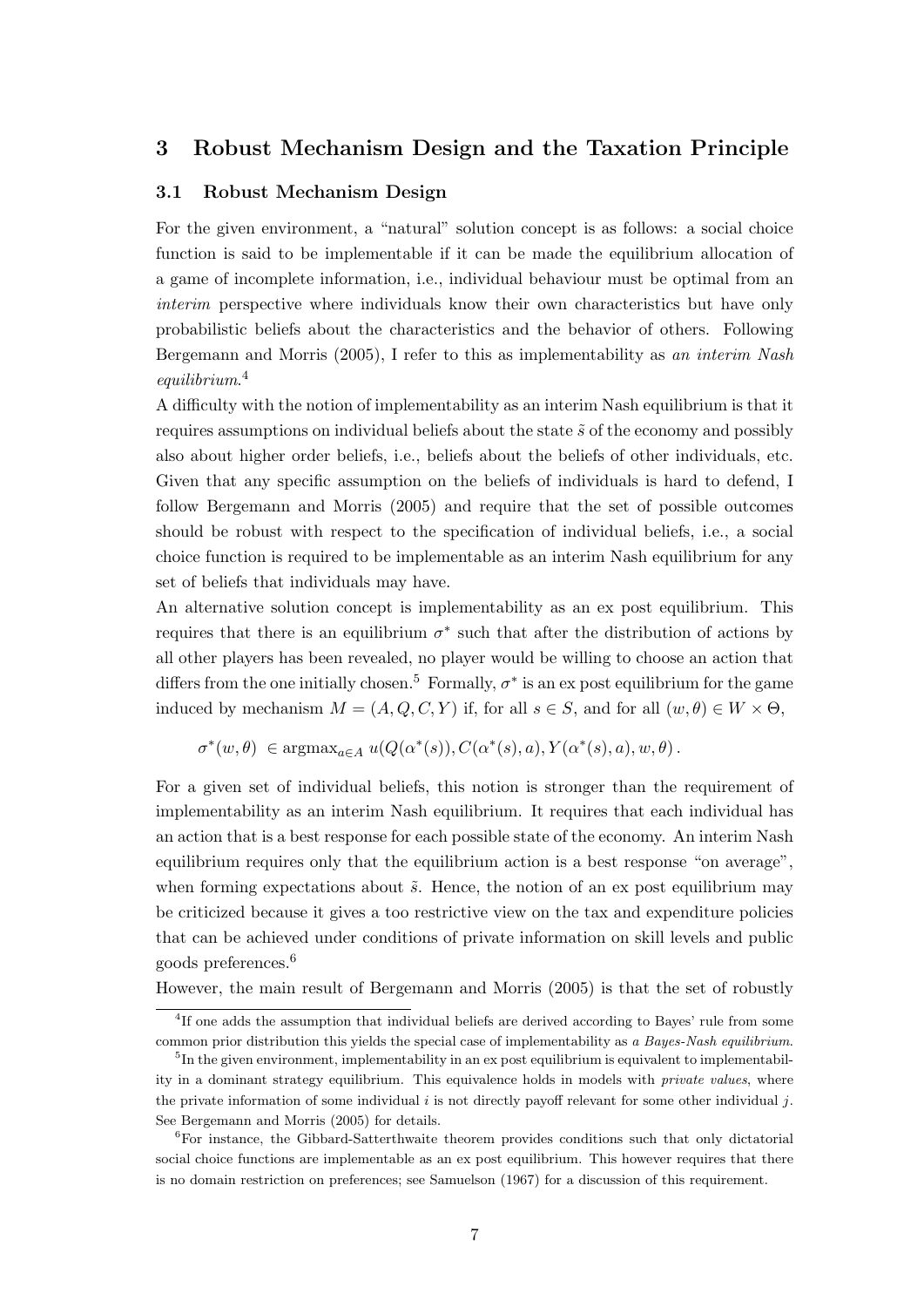## 3 Robust Mechanism Design and the Taxation Principle

#### 3.1 Robust Mechanism Design

For the given environment, a "natural" solution concept is as follows: a social choice function is said to be implementable if it can be made the equilibrium allocation of a game of incomplete information, i.e., individual behaviour must be optimal from an interim perspective where individuals know their own characteristics but have only probabilistic beliefs about the characteristics and the behavior of others. Following Bergemann and Morris (2005), I refer to this as implementability as an interim Nash equilibrium. 4

A difficulty with the notion of implementability as an interim Nash equilibrium is that it requires assumptions on individual beliefs about the state  $\tilde{s}$  of the economy and possibly also about higher order beliefs, i.e., beliefs about the beliefs of other individuals, etc. Given that any specific assumption on the beliefs of individuals is hard to defend, I follow Bergemann and Morris (2005) and require that the set of possible outcomes should be robust with respect to the specification of individual beliefs, i.e., a social choice function is required to be implementable as an interim Nash equilibrium for any set of beliefs that individuals may have.

An alternative solution concept is implementability as an ex post equilibrium. This requires that there is an equilibrium  $\sigma^*$  such that after the distribution of actions by all other players has been revealed, no player would be willing to choose an action that differs from the one initially chosen.<sup>5</sup> Formally,  $\sigma^*$  is an expost equilibrium for the game induced by mechanism  $M = (A, Q, C, Y)$  if, for all  $s \in S$ , and for all  $(w, \theta) \in W \times \Theta$ ,

$$
\sigma^*(w,\theta) \ \in \text{argmax}_{a \in A} \ u(Q(\alpha^*(s)), C(\alpha^*(s),a), Y(\alpha^*(s),a), w, \theta) \, .
$$

For a given set of individual beliefs, this notion is stronger than the requirement of implementability as an interim Nash equilibrium. It requires that each individual has an action that is a best response for each possible state of the economy. An interim Nash equilibrium requires only that the equilibrium action is a best response "on average", when forming expectations about  $\tilde{s}$ . Hence, the notion of an ex post equilibrium may be criticized because it gives a too restrictive view on the tax and expenditure policies that can be achieved under conditions of private information on skill levels and public goods preferences.<sup>6</sup>

However, the main result of Bergemann and Morris (2005) is that the set of robustly

<sup>&</sup>lt;sup>4</sup>If one adds the assumption that individual beliefs are derived according to Bayes' rule from some common prior distribution this yields the special case of implementability as a Bayes-Nash equilibrium.

 ${}^{5}$ In the given environment, implementability in an ex post equilibrium is equivalent to implementability in a dominant strategy equilibrium. This equivalence holds in models with *private values*, where the private information of some individual  $i$  is not directly payoff relevant for some other individual  $j$ . See Bergemann and Morris (2005) for details.

<sup>6</sup>For instance, the Gibbard-Satterthwaite theorem provides conditions such that only dictatorial social choice functions are implementable as an ex post equilibrium. This however requires that there is no domain restriction on preferences; see Samuelson (1967) for a discussion of this requirement.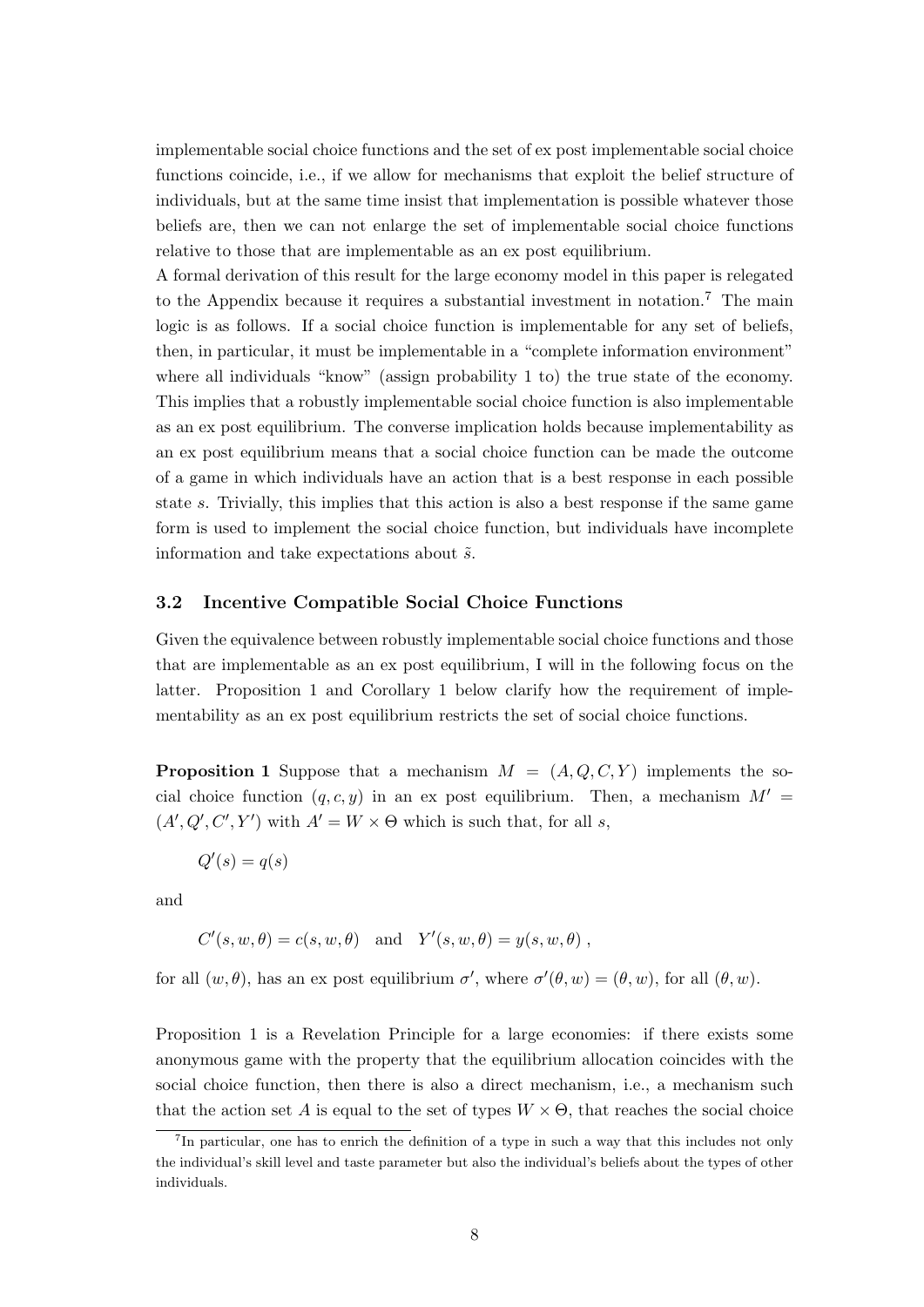implementable social choice functions and the set of ex post implementable social choice functions coincide, i.e., if we allow for mechanisms that exploit the belief structure of individuals, but at the same time insist that implementation is possible whatever those beliefs are, then we can not enlarge the set of implementable social choice functions relative to those that are implementable as an ex post equilibrium.

A formal derivation of this result for the large economy model in this paper is relegated to the Appendix because it requires a substantial investment in notation.<sup>7</sup> The main logic is as follows. If a social choice function is implementable for any set of beliefs, then, in particular, it must be implementable in a "complete information environment" where all individuals "know" (assign probability 1 to) the true state of the economy. This implies that a robustly implementable social choice function is also implementable as an ex post equilibrium. The converse implication holds because implementability as an ex post equilibrium means that a social choice function can be made the outcome of a game in which individuals have an action that is a best response in each possible state s. Trivially, this implies that this action is also a best response if the same game form is used to implement the social choice function, but individuals have incomplete information and take expectations about  $\tilde{s}$ .

### 3.2 Incentive Compatible Social Choice Functions

Given the equivalence between robustly implementable social choice functions and those that are implementable as an ex post equilibrium, I will in the following focus on the latter. Proposition 1 and Corollary 1 below clarify how the requirement of implementability as an ex post equilibrium restricts the set of social choice functions.

**Proposition 1** Suppose that a mechanism  $M = (A, Q, C, Y)$  implements the social choice function  $(q, c, y)$  in an ex post equilibrium. Then, a mechanism  $M' =$  $(A', Q', C', Y')$  with  $A' = W \times \Theta$  which is such that, for all s,

 $Q'(s) = q(s)$ 

and

$$
C'(s, w, \theta) = c(s, w, \theta) \text{ and } Y'(s, w, \theta) = y(s, w, \theta) ,
$$

for all  $(w, \theta)$ , has an ex post equilibrium  $\sigma'$ , where  $\sigma'(\theta, w) = (\theta, w)$ , for all  $(\theta, w)$ .

Proposition 1 is a Revelation Principle for a large economies: if there exists some anonymous game with the property that the equilibrium allocation coincides with the social choice function, then there is also a direct mechanism, i.e., a mechanism such that the action set A is equal to the set of types  $W \times \Theta$ , that reaches the social choice

<sup>7</sup> In particular, one has to enrich the definition of a type in such a way that this includes not only the individual's skill level and taste parameter but also the individual's beliefs about the types of other individuals.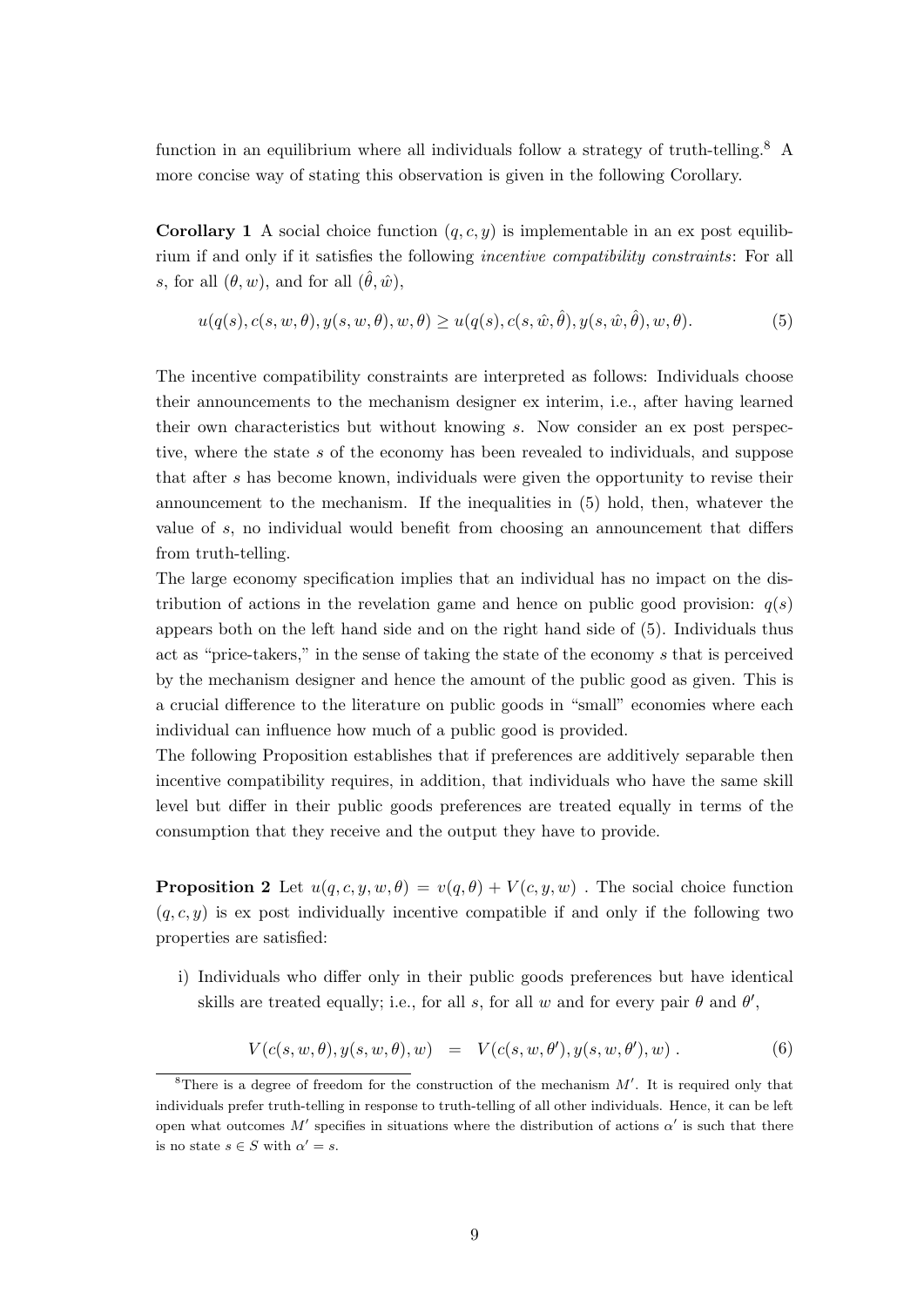function in an equilibrium where all individuals follow a strategy of truth-telling.<sup>8</sup> A more concise way of stating this observation is given in the following Corollary.

**Corollary 1** A social choice function  $(q, c, y)$  is implementable in an ex post equilibrium if and only if it satisfies the following incentive compatibility constraints: For all s, for all  $(\theta, w)$ , and for all  $(\hat{\theta}, \hat{w})$ ,

$$
u(q(s), c(s, w, \theta), y(s, w, \theta), w, \theta) \ge u(q(s), c(s, \hat{w}, \hat{\theta}), y(s, \hat{w}, \hat{\theta}), w, \theta).
$$
(5)

The incentive compatibility constraints are interpreted as follows: Individuals choose their announcements to the mechanism designer ex interim, i.e., after having learned their own characteristics but without knowing s. Now consider an ex post perspective, where the state s of the economy has been revealed to individuals, and suppose that after s has become known, individuals were given the opportunity to revise their announcement to the mechanism. If the inequalities in (5) hold, then, whatever the value of s, no individual would benefit from choosing an announcement that differs from truth-telling.

The large economy specification implies that an individual has no impact on the distribution of actions in the revelation game and hence on public good provision:  $q(s)$ appears both on the left hand side and on the right hand side of (5). Individuals thus act as "price-takers," in the sense of taking the state of the economy s that is perceived by the mechanism designer and hence the amount of the public good as given. This is a crucial difference to the literature on public goods in "small" economies where each individual can influence how much of a public good is provided.

The following Proposition establishes that if preferences are additively separable then incentive compatibility requires, in addition, that individuals who have the same skill level but differ in their public goods preferences are treated equally in terms of the consumption that they receive and the output they have to provide.

**Proposition 2** Let  $u(q, c, y, w, \theta) = v(q, \theta) + V(c, y, w)$ . The social choice function  $(q, c, y)$  is ex post individually incentive compatible if and only if the following two properties are satisfied:

i) Individuals who differ only in their public goods preferences but have identical skills are treated equally; i.e., for all s, for all w and for every pair  $\theta$  and  $\theta'$ ,

$$
V(c(s, w, \theta), y(s, w, \theta), w) = V(c(s, w, \theta'), y(s, w, \theta'), w).
$$
 (6)

<sup>&</sup>lt;sup>8</sup>There is a degree of freedom for the construction of the mechanism  $M'$ . It is required only that individuals prefer truth-telling in response to truth-telling of all other individuals. Hence, it can be left open what outcomes M' specifies in situations where the distribution of actions  $\alpha'$  is such that there is no state  $s \in S$  with  $\alpha' = s$ .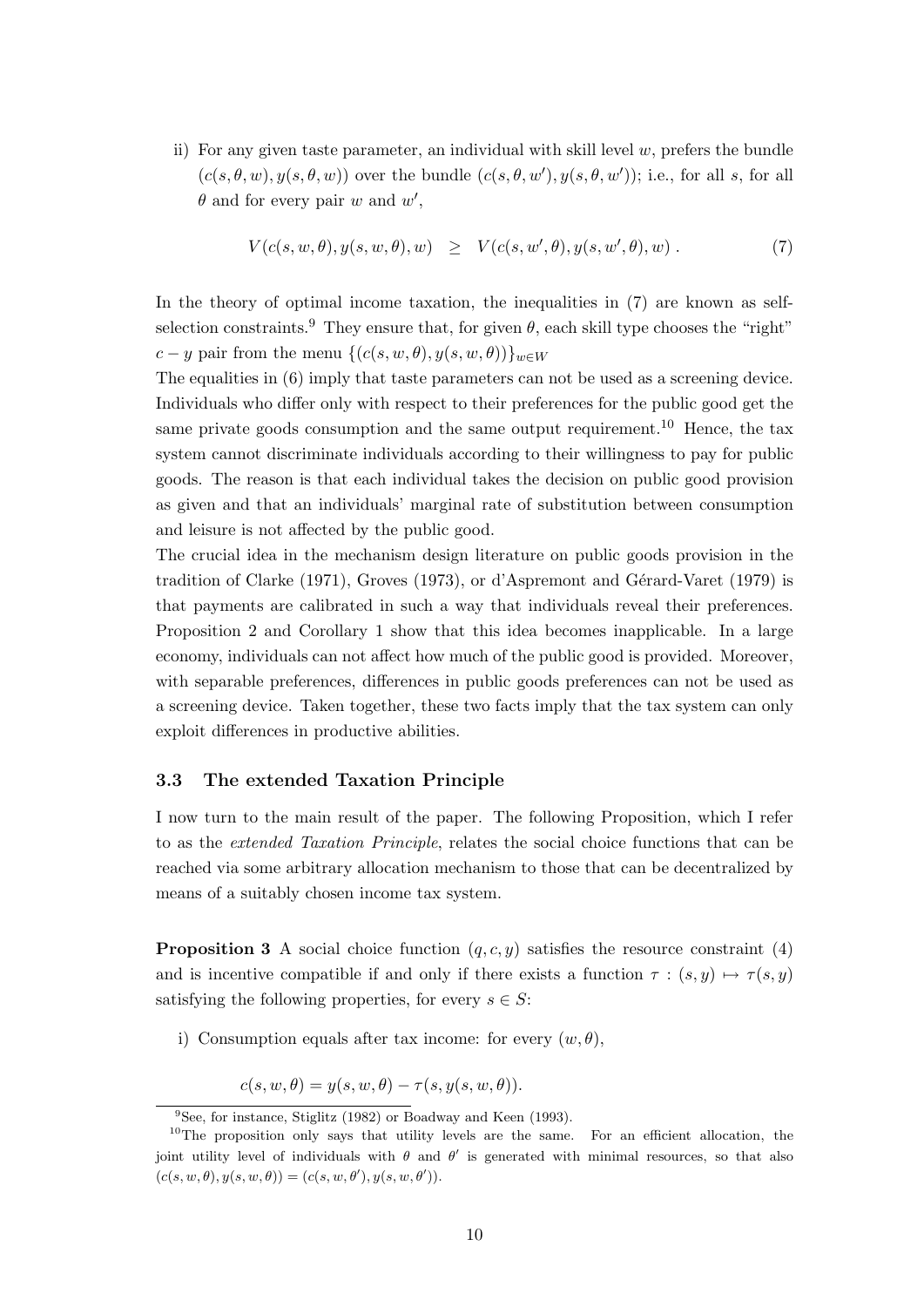ii) For any given taste parameter, an individual with skill level  $w$ , prefers the bundle  $(c(s, \theta, w), y(s, \theta, w))$  over the bundle  $(c(s, \theta, w'), y(s, \theta, w'))$ ; i.e., for all s, for all  $\theta$  and for every pair w and w',

$$
V(c(s, w, \theta), y(s, w, \theta), w) \geq V(c(s, w', \theta), y(s, w', \theta), w) . \tag{7}
$$

In the theory of optimal income taxation, the inequalities in  $(7)$  are known as selfselection constraints.<sup>9</sup> They ensure that, for given  $\theta$ , each skill type chooses the "right" c – y pair from the menu  $\{(c(s, w, \theta), y(s, w, \theta))\}_{w \in W}$ 

The equalities in (6) imply that taste parameters can not be used as a screening device. Individuals who differ only with respect to their preferences for the public good get the same private goods consumption and the same output requirement.<sup>10</sup> Hence, the tax system cannot discriminate individuals according to their willingness to pay for public goods. The reason is that each individual takes the decision on public good provision as given and that an individuals' marginal rate of substitution between consumption and leisure is not affected by the public good.

The crucial idea in the mechanism design literature on public goods provision in the tradition of Clarke  $(1971)$ , Groves  $(1973)$ , or d'Aspremont and Gérard-Varet  $(1979)$  is that payments are calibrated in such a way that individuals reveal their preferences. Proposition 2 and Corollary 1 show that this idea becomes inapplicable. In a large economy, individuals can not affect how much of the public good is provided. Moreover, with separable preferences, differences in public goods preferences can not be used as a screening device. Taken together, these two facts imply that the tax system can only exploit differences in productive abilities.

### 3.3 The extended Taxation Principle

I now turn to the main result of the paper. The following Proposition, which I refer to as the extended Taxation Principle, relates the social choice functions that can be reached via some arbitrary allocation mechanism to those that can be decentralized by means of a suitably chosen income tax system.

**Proposition 3** A social choice function  $(q, c, y)$  satisfies the resource constraint (4) and is incentive compatible if and only if there exists a function  $\tau : (s, y) \mapsto \tau(s, y)$ satisfying the following properties, for every  $s \in S$ :

i) Consumption equals after tax income: for every  $(w, \theta)$ ,

 $c(s, w, \theta) = y(s, w, \theta) - \tau(s, y(s, w, \theta)).$ 

 $^{9}$ See, for instance, Stiglitz (1982) or Boadway and Keen (1993).

<sup>10</sup>The proposition only says that utility levels are the same. For an efficient allocation, the joint utility level of individuals with  $\theta$  and  $\theta'$  is generated with minimal resources, so that also  $(c(s, w, \theta), y(s, w, \theta)) = (c(s, w, \theta'), y(s, w, \theta')).$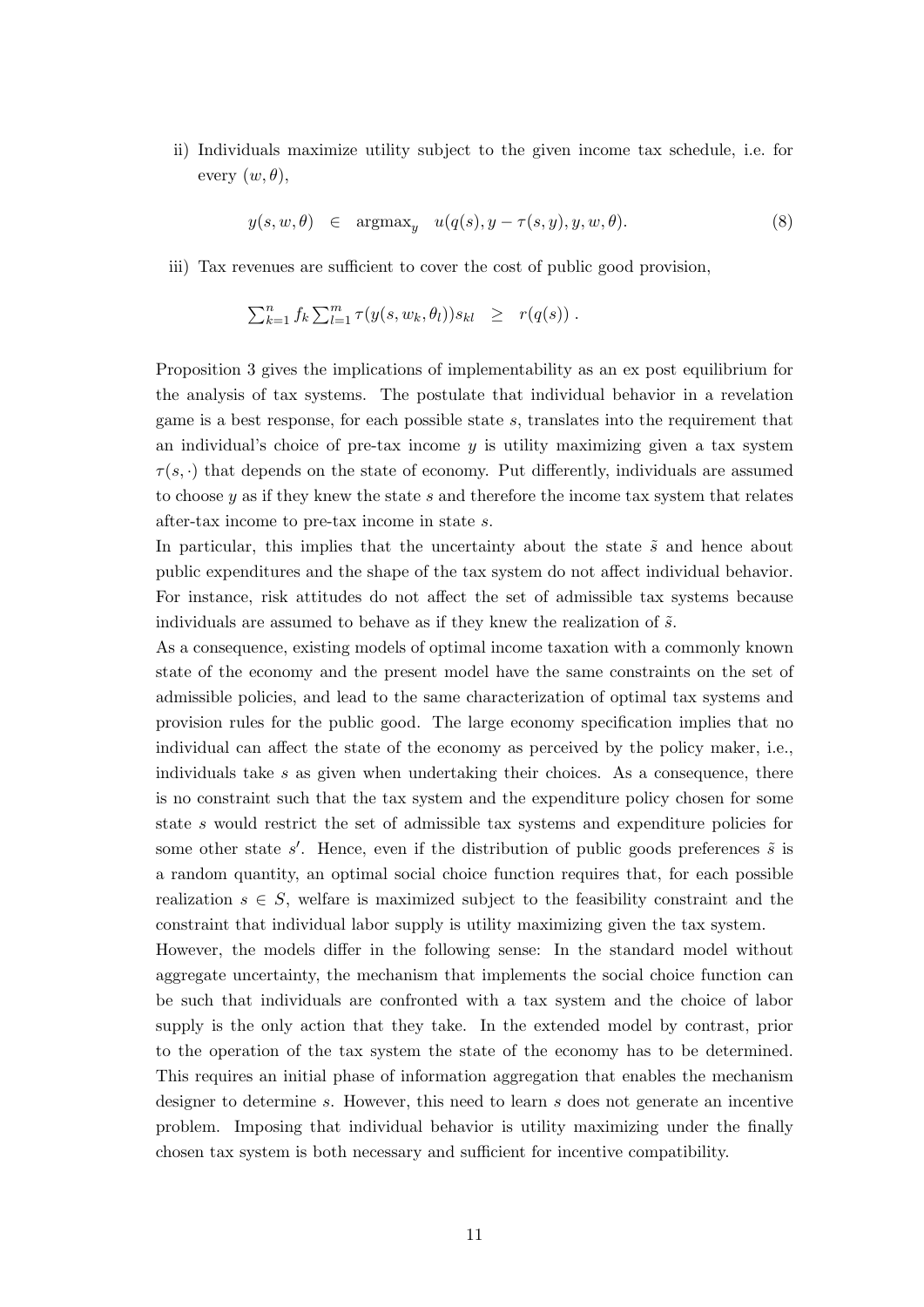ii) Individuals maximize utility subject to the given income tax schedule, i.e. for every  $(w, \theta)$ ,

 $y(s, w, \theta) \in \text{argmax}_{y} \quad u(q(s), y - \tau(s, y), y, w, \theta).$  (8)

iii) Tax revenues are sufficient to cover the cost of public good provision,

$$
\sum_{k=1}^n f_k \sum_{l=1}^m \tau(y(s, w_k, \theta_l)) s_{kl} \geq r(q(s)) .
$$

Proposition 3 gives the implications of implementability as an ex post equilibrium for the analysis of tax systems. The postulate that individual behavior in a revelation game is a best response, for each possible state  $s$ , translates into the requirement that an individual's choice of pre-tax income  $y$  is utility maximizing given a tax system  $\tau(s, \cdot)$  that depends on the state of economy. Put differently, individuals are assumed to choose  $y$  as if they knew the state s and therefore the income tax system that relates after-tax income to pre-tax income in state s.

In particular, this implies that the uncertainty about the state  $\tilde{s}$  and hence about public expenditures and the shape of the tax system do not affect individual behavior. For instance, risk attitudes do not affect the set of admissible tax systems because individuals are assumed to behave as if they knew the realization of  $\tilde{s}$ .

As a consequence, existing models of optimal income taxation with a commonly known state of the economy and the present model have the same constraints on the set of admissible policies, and lead to the same characterization of optimal tax systems and provision rules for the public good. The large economy specification implies that no individual can affect the state of the economy as perceived by the policy maker, i.e., individuals take  $s$  as given when undertaking their choices. As a consequence, there is no constraint such that the tax system and the expenditure policy chosen for some state s would restrict the set of admissible tax systems and expenditure policies for some other state  $s'$ . Hence, even if the distribution of public goods preferences  $\tilde{s}$  is a random quantity, an optimal social choice function requires that, for each possible realization  $s \in S$ , welfare is maximized subject to the feasibility constraint and the constraint that individual labor supply is utility maximizing given the tax system.

However, the models differ in the following sense: In the standard model without aggregate uncertainty, the mechanism that implements the social choice function can be such that individuals are confronted with a tax system and the choice of labor supply is the only action that they take. In the extended model by contrast, prior to the operation of the tax system the state of the economy has to be determined. This requires an initial phase of information aggregation that enables the mechanism designer to determine s. However, this need to learn s does not generate an incentive problem. Imposing that individual behavior is utility maximizing under the finally chosen tax system is both necessary and sufficient for incentive compatibility.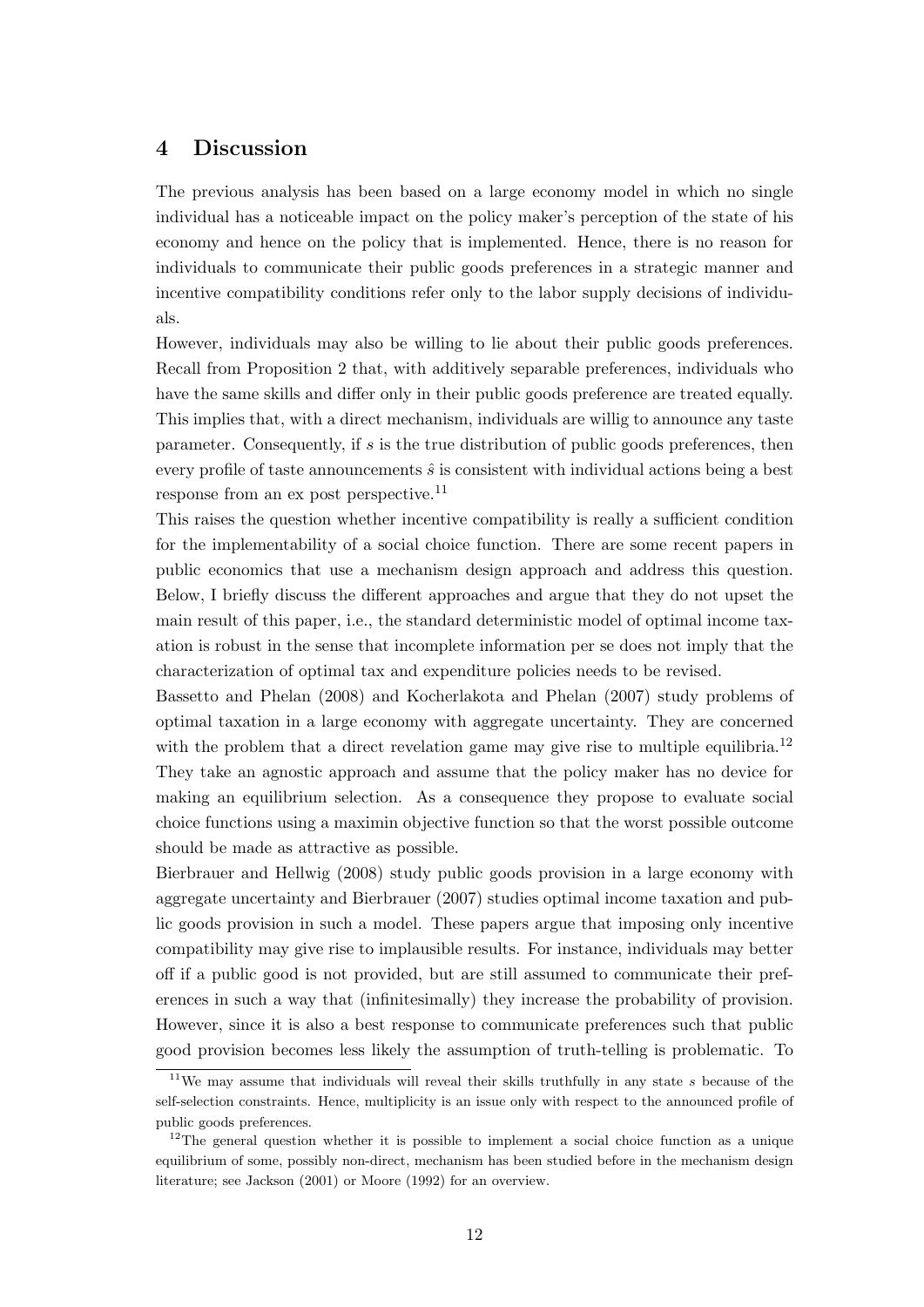## 4 Discussion

The previous analysis has been based on a large economy model in which no single individual has a noticeable impact on the policy maker's perception of the state of his economy and hence on the policy that is implemented. Hence, there is no reason for individuals to communicate their public goods preferences in a strategic manner and incentive compatibility conditions refer only to the labor supply decisions of individuals.

However, individuals may also be willing to lie about their public goods preferences. Recall from Proposition 2 that, with additively separable preferences, individuals who have the same skills and differ only in their public goods preference are treated equally. This implies that, with a direct mechanism, individuals are willig to announce any taste parameter. Consequently, if s is the true distribution of public goods preferences, then every profile of taste announcements  $\hat{s}$  is consistent with individual actions being a best response from an ex post perspective.<sup>11</sup>

This raises the question whether incentive compatibility is really a sufficient condition for the implementability of a social choice function. There are some recent papers in public economics that use a mechanism design approach and address this question. Below, I briefly discuss the different approaches and argue that they do not upset the main result of this paper, i.e., the standard deterministic model of optimal income taxation is robust in the sense that incomplete information per se does not imply that the characterization of optimal tax and expenditure policies needs to be revised.

Bassetto and Phelan (2008) and Kocherlakota and Phelan (2007) study problems of optimal taxation in a large economy with aggregate uncertainty. They are concerned with the problem that a direct revelation game may give rise to multiple equilibria.<sup>12</sup> They take an agnostic approach and assume that the policy maker has no device for making an equilibrium selection. As a consequence they propose to evaluate social choice functions using a maximin objective function so that the worst possible outcome should be made as attractive as possible.

Bierbrauer and Hellwig (2008) study public goods provision in a large economy with aggregate uncertainty and Bierbrauer (2007) studies optimal income taxation and public goods provision in such a model. These papers argue that imposing only incentive compatibility may give rise to implausible results. For instance, individuals may better off if a public good is not provided, but are still assumed to communicate their preferences in such a way that (infinitesimally) they increase the probability of provision. However, since it is also a best response to communicate preferences such that public good provision becomes less likely the assumption of truth-telling is problematic. To

<sup>&</sup>lt;sup>11</sup>We may assume that individuals will reveal their skills truthfully in any state s because of the self-selection constraints. Hence, multiplicity is an issue only with respect to the announced profile of public goods preferences.

<sup>&</sup>lt;sup>12</sup>The general question whether it is possible to implement a social choice function as a unique equilibrium of some, possibly non-direct, mechanism has been studied before in the mechanism design literature; see Jackson (2001) or Moore (1992) for an overview.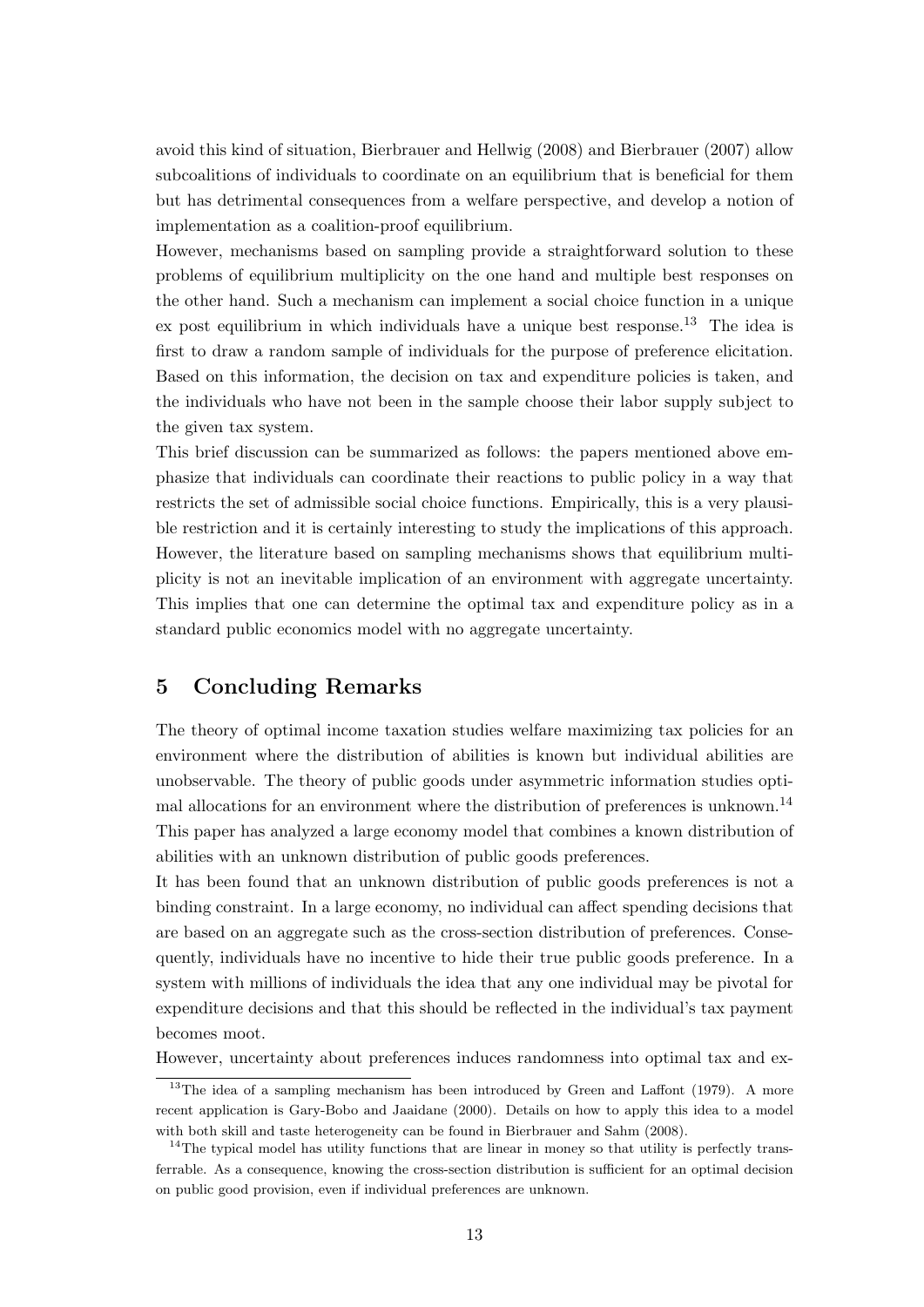avoid this kind of situation, Bierbrauer and Hellwig (2008) and Bierbrauer (2007) allow subcoalitions of individuals to coordinate on an equilibrium that is beneficial for them but has detrimental consequences from a welfare perspective, and develop a notion of implementation as a coalition-proof equilibrium.

However, mechanisms based on sampling provide a straightforward solution to these problems of equilibrium multiplicity on the one hand and multiple best responses on the other hand. Such a mechanism can implement a social choice function in a unique ex post equilibrium in which individuals have a unique best response.<sup>13</sup> The idea is first to draw a random sample of individuals for the purpose of preference elicitation. Based on this information, the decision on tax and expenditure policies is taken, and the individuals who have not been in the sample choose their labor supply subject to the given tax system.

This brief discussion can be summarized as follows: the papers mentioned above emphasize that individuals can coordinate their reactions to public policy in a way that restricts the set of admissible social choice functions. Empirically, this is a very plausible restriction and it is certainly interesting to study the implications of this approach. However, the literature based on sampling mechanisms shows that equilibrium multiplicity is not an inevitable implication of an environment with aggregate uncertainty. This implies that one can determine the optimal tax and expenditure policy as in a standard public economics model with no aggregate uncertainty.

# 5 Concluding Remarks

The theory of optimal income taxation studies welfare maximizing tax policies for an environment where the distribution of abilities is known but individual abilities are unobservable. The theory of public goods under asymmetric information studies optimal allocations for an environment where the distribution of preferences is unknown.<sup>14</sup> This paper has analyzed a large economy model that combines a known distribution of abilities with an unknown distribution of public goods preferences.

It has been found that an unknown distribution of public goods preferences is not a binding constraint. In a large economy, no individual can affect spending decisions that are based on an aggregate such as the cross-section distribution of preferences. Consequently, individuals have no incentive to hide their true public goods preference. In a system with millions of individuals the idea that any one individual may be pivotal for expenditure decisions and that this should be reflected in the individual's tax payment becomes moot.

However, uncertainty about preferences induces randomness into optimal tax and ex-

 $13$ The idea of a sampling mechanism has been introduced by Green and Laffont (1979). A more recent application is Gary-Bobo and Jaaidane (2000). Details on how to apply this idea to a model with both skill and taste heterogeneity can be found in Bierbrauer and Sahm (2008).

<sup>&</sup>lt;sup>14</sup>The typical model has utility functions that are linear in money so that utility is perfectly transferrable. As a consequence, knowing the cross-section distribution is sufficient for an optimal decision on public good provision, even if individual preferences are unknown.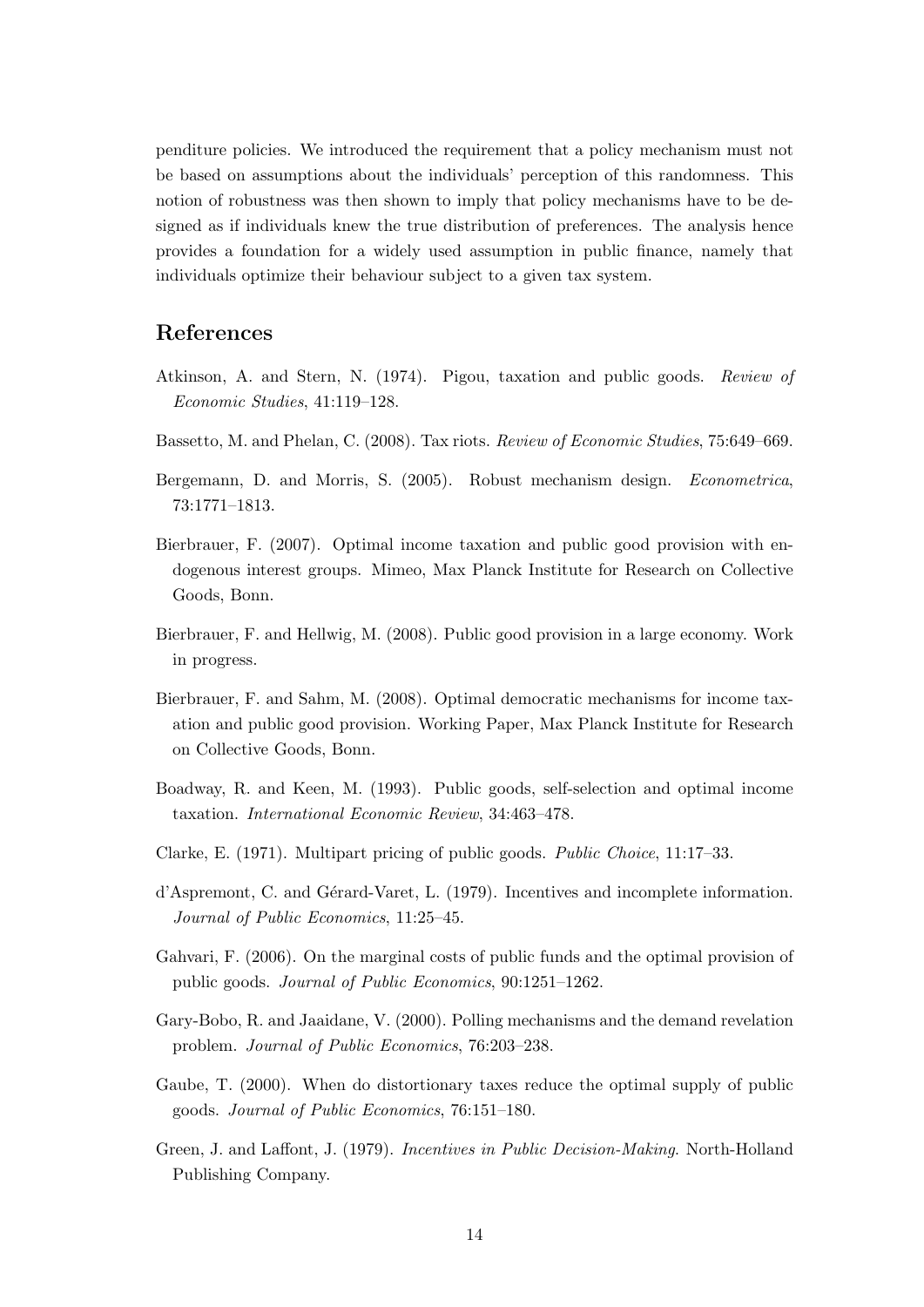penditure policies. We introduced the requirement that a policy mechanism must not be based on assumptions about the individuals' perception of this randomness. This notion of robustness was then shown to imply that policy mechanisms have to be designed as if individuals knew the true distribution of preferences. The analysis hence provides a foundation for a widely used assumption in public finance, namely that individuals optimize their behaviour subject to a given tax system.

## References

- Atkinson, A. and Stern, N. (1974). Pigou, taxation and public goods. Review of Economic Studies, 41:119–128.
- Bassetto, M. and Phelan, C. (2008). Tax riots. Review of Economic Studies, 75:649–669.
- Bergemann, D. and Morris, S. (2005). Robust mechanism design. Econometrica, 73:1771–1813.
- Bierbrauer, F. (2007). Optimal income taxation and public good provision with endogenous interest groups. Mimeo, Max Planck Institute for Research on Collective Goods, Bonn.
- Bierbrauer, F. and Hellwig, M. (2008). Public good provision in a large economy. Work in progress.
- Bierbrauer, F. and Sahm, M. (2008). Optimal democratic mechanisms for income taxation and public good provision. Working Paper, Max Planck Institute for Research on Collective Goods, Bonn.
- Boadway, R. and Keen, M. (1993). Public goods, self-selection and optimal income taxation. International Economic Review, 34:463–478.
- Clarke, E. (1971). Multipart pricing of public goods. Public Choice, 11:17–33.
- d'Aspremont, C. and Gérard-Varet, L. (1979). Incentives and incomplete information. Journal of Public Economics, 11:25–45.
- Gahvari, F. (2006). On the marginal costs of public funds and the optimal provision of public goods. Journal of Public Economics, 90:1251–1262.
- Gary-Bobo, R. and Jaaidane, V. (2000). Polling mechanisms and the demand revelation problem. Journal of Public Economics, 76:203–238.
- Gaube, T. (2000). When do distortionary taxes reduce the optimal supply of public goods. Journal of Public Economics, 76:151–180.
- Green, J. and Laffont, J. (1979). Incentives in Public Decision-Making. North-Holland Publishing Company.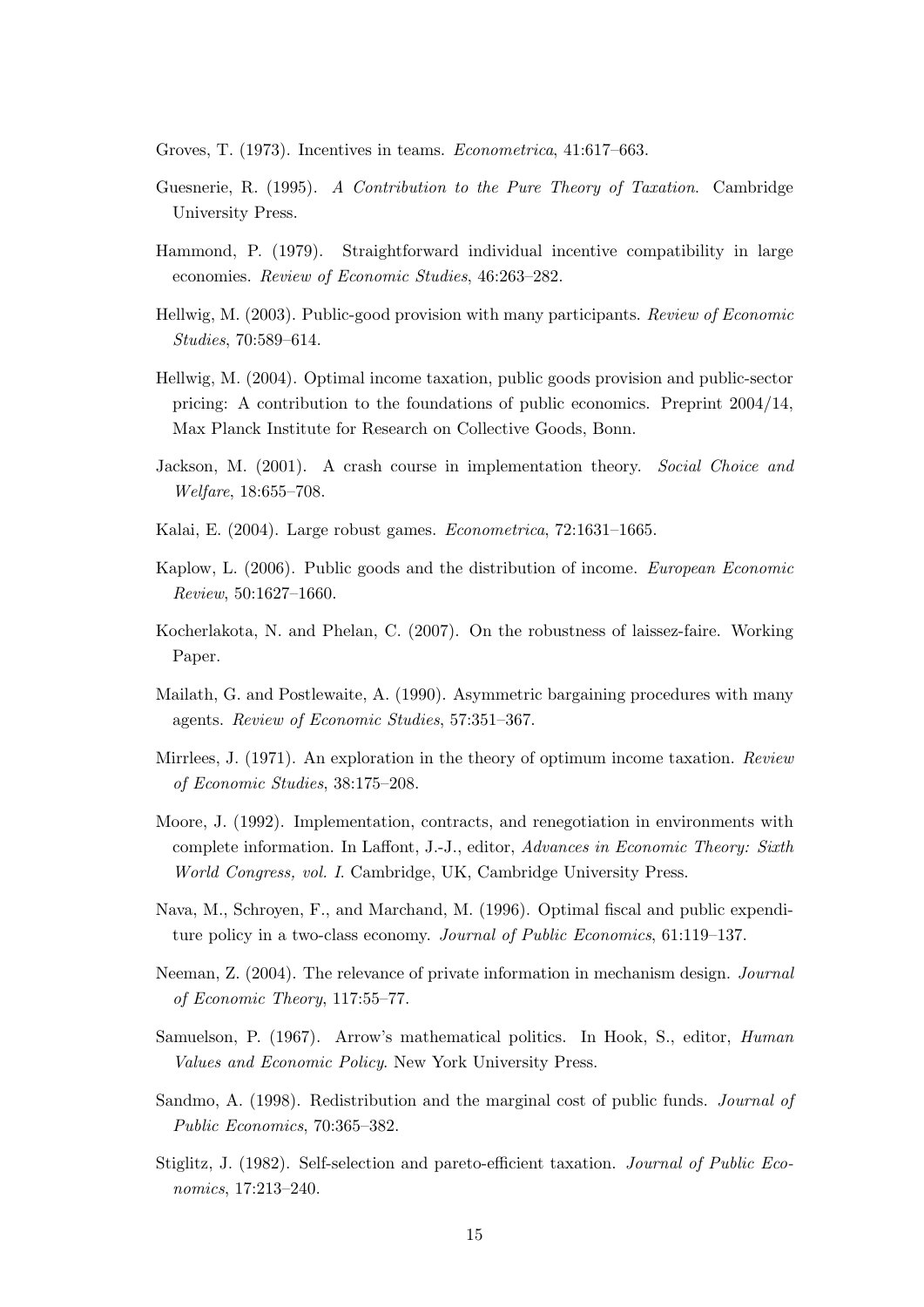Groves, T. (1973). Incentives in teams. Econometrica, 41:617–663.

- Guesnerie, R. (1995). A Contribution to the Pure Theory of Taxation. Cambridge University Press.
- Hammond, P. (1979). Straightforward individual incentive compatibility in large economies. Review of Economic Studies, 46:263–282.
- Hellwig, M. (2003). Public-good provision with many participants. Review of Economic Studies, 70:589–614.
- Hellwig, M. (2004). Optimal income taxation, public goods provision and public-sector pricing: A contribution to the foundations of public economics. Preprint 2004/14, Max Planck Institute for Research on Collective Goods, Bonn.
- Jackson, M. (2001). A crash course in implementation theory. Social Choice and Welfare, 18:655–708.
- Kalai, E. (2004). Large robust games. Econometrica, 72:1631–1665.
- Kaplow, L. (2006). Public goods and the distribution of income. European Economic Review, 50:1627–1660.
- Kocherlakota, N. and Phelan, C. (2007). On the robustness of laissez-faire. Working Paper.
- Mailath, G. and Postlewaite, A. (1990). Asymmetric bargaining procedures with many agents. Review of Economic Studies, 57:351–367.
- Mirrlees, J. (1971). An exploration in the theory of optimum income taxation. Review of Economic Studies, 38:175–208.
- Moore, J. (1992). Implementation, contracts, and renegotiation in environments with complete information. In Laffont, J.-J., editor, Advances in Economic Theory: Sixth World Congress, vol. I. Cambridge, UK, Cambridge University Press.
- Nava, M., Schroyen, F., and Marchand, M. (1996). Optimal fiscal and public expenditure policy in a two-class economy. Journal of Public Economics, 61:119–137.
- Neeman, Z. (2004). The relevance of private information in mechanism design. Journal of Economic Theory, 117:55–77.
- Samuelson, P. (1967). Arrow's mathematical politics. In Hook, S., editor, Human Values and Economic Policy. New York University Press.
- Sandmo, A. (1998). Redistribution and the marginal cost of public funds. Journal of Public Economics, 70:365–382.
- Stiglitz, J. (1982). Self-selection and pareto-efficient taxation. Journal of Public Economics, 17:213–240.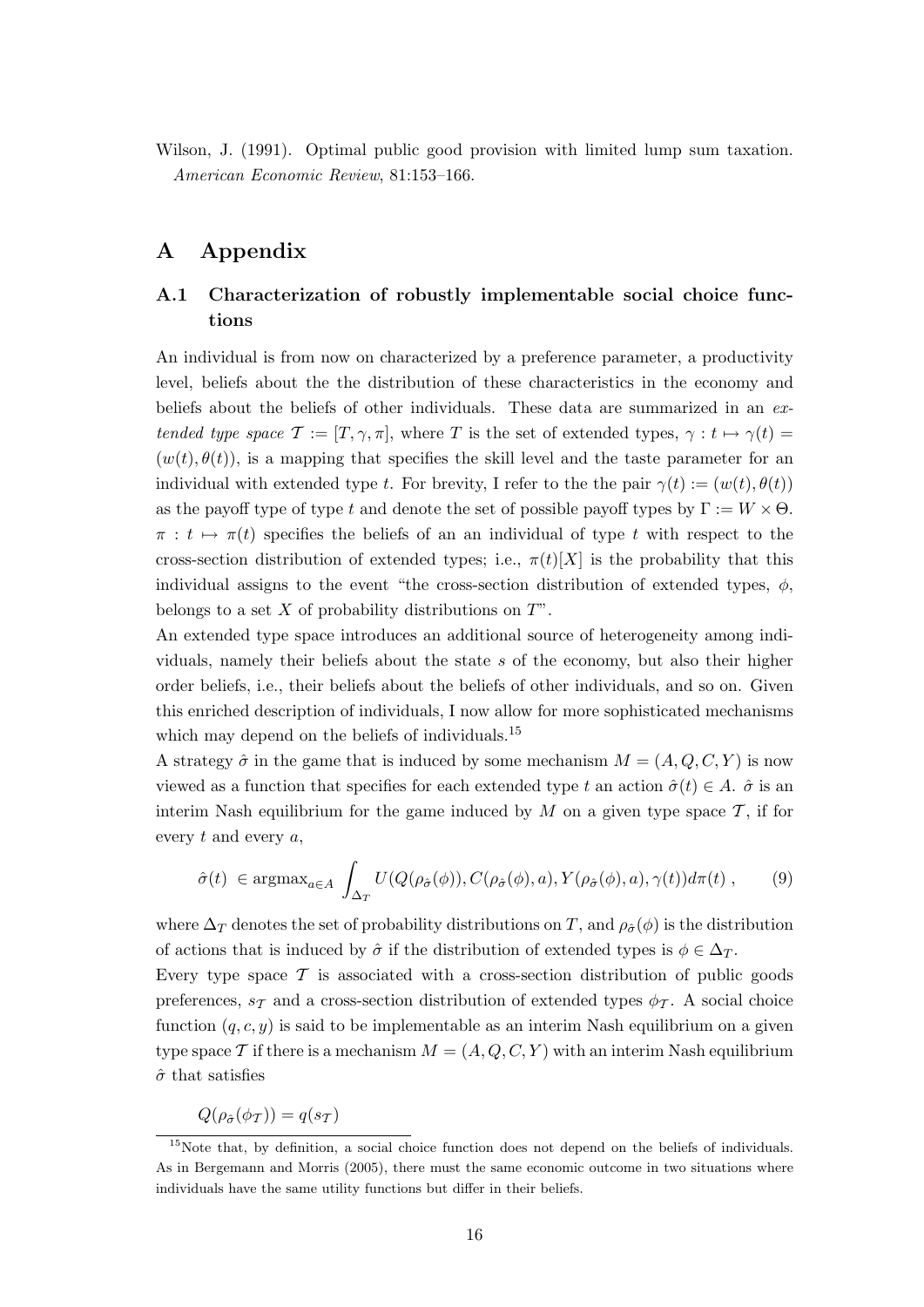Wilson, J. (1991). Optimal public good provision with limited lump sum taxation. American Economic Review, 81:153–166.

# A Appendix

## A.1 Characterization of robustly implementable social choice functions

An individual is from now on characterized by a preference parameter, a productivity level, beliefs about the the distribution of these characteristics in the economy and beliefs about the beliefs of other individuals. These data are summarized in an extended type space  $\mathcal{T} := [T, \gamma, \pi]$ , where T is the set of extended types,  $\gamma : t \mapsto \gamma(t) =$  $(w(t), \theta(t))$ , is a mapping that specifies the skill level and the taste parameter for an individual with extended type t. For brevity, I refer to the the pair  $\gamma(t) := (w(t), \theta(t))$ as the payoff type of type t and denote the set of possible payoff types by  $\Gamma := W \times \Theta$ .  $\pi : t \mapsto \pi(t)$  specifies the beliefs of an an individual of type t with respect to the cross-section distribution of extended types; i.e.,  $\pi(t)[X]$  is the probability that this individual assigns to the event "the cross-section distribution of extended types,  $\phi$ , belongs to a set  $X$  of probability distributions on  $T$ ".

An extended type space introduces an additional source of heterogeneity among individuals, namely their beliefs about the state s of the economy, but also their higher order beliefs, i.e., their beliefs about the beliefs of other individuals, and so on. Given this enriched description of individuals, I now allow for more sophisticated mechanisms which may depend on the beliefs of individuals.<sup>15</sup>

A strategy  $\hat{\sigma}$  in the game that is induced by some mechanism  $M = (A, Q, C, Y)$  is now viewed as a function that specifies for each extended type t an action  $\hat{\sigma}(t) \in A$ .  $\hat{\sigma}$  is an interim Nash equilibrium for the game induced by  $M$  on a given type space  $\mathcal{T}$ , if for every t and every a,

$$
\hat{\sigma}(t) \in \operatorname{argmax}_{a \in A} \int_{\Delta_T} U(Q(\rho_{\hat{\sigma}}(\phi)), C(\rho_{\hat{\sigma}}(\phi), a), Y(\rho_{\hat{\sigma}}(\phi), a), \gamma(t)) d\pi(t), \qquad (9)
$$

where  $\Delta_T$  denotes the set of probability distributions on T, and  $\rho_{\hat{\sigma}}(\phi)$  is the distribution of actions that is induced by  $\hat{\sigma}$  if the distribution of extended types is  $\phi \in \Delta_T$ .

Every type space  $\mathcal T$  is associated with a cross-section distribution of public goods preferences,  $s_{\mathcal{T}}$  and a cross-section distribution of extended types  $\phi_{\mathcal{T}}$ . A social choice function  $(q, c, y)$  is said to be implementable as an interim Nash equilibrium on a given type space T if there is a mechanism  $M = (A, Q, C, Y)$  with an interim Nash equilibrium  $\hat{\sigma}$  that satisfies

$$
Q(\rho_{\hat{\sigma}}(\phi_{\mathcal{T}})) = q(s_{\mathcal{T}})
$$

<sup>&</sup>lt;sup>15</sup>Note that, by definition, a social choice function does not depend on the beliefs of individuals. As in Bergemann and Morris (2005), there must the same economic outcome in two situations where individuals have the same utility functions but differ in their beliefs.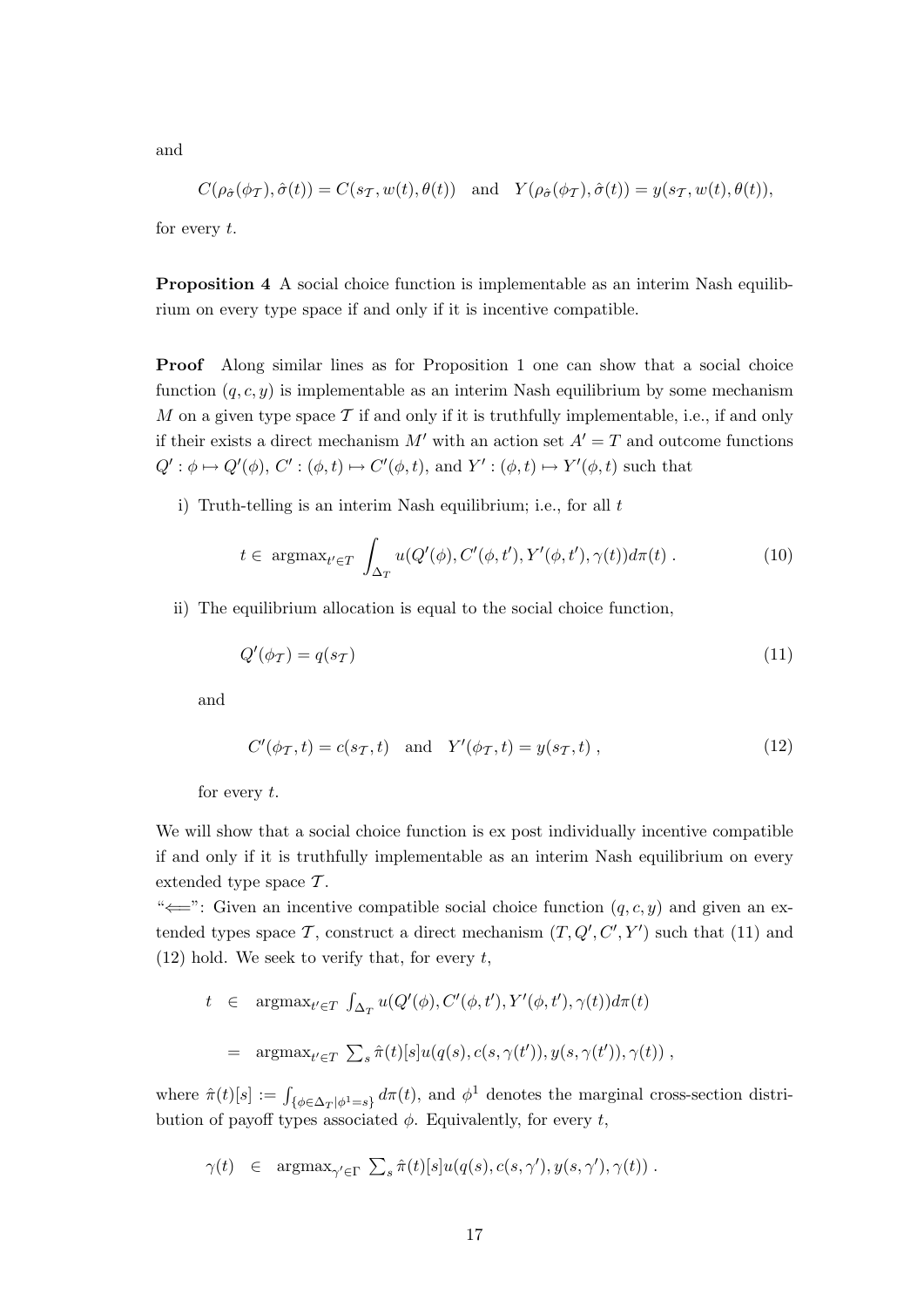and

$$
C(\rho_{\hat{\sigma}}(\phi_{\mathcal{T}}), \hat{\sigma}(t)) = C(s_{\mathcal{T}}, w(t), \theta(t)) \text{ and } Y(\rho_{\hat{\sigma}}(\phi_{\mathcal{T}}), \hat{\sigma}(t)) = y(s_{\mathcal{T}}, w(t), \theta(t)),
$$

for every  $t$ .

Proposition 4 A social choice function is implementable as an interim Nash equilibrium on every type space if and only if it is incentive compatible.

Proof Along similar lines as for Proposition 1 one can show that a social choice function  $(q, c, y)$  is implementable as an interim Nash equilibrium by some mechanism M on a given type space  $\mathcal T$  if and only if it is truthfully implementable, i.e., if and only if their exists a direct mechanism M' with an action set  $A' = T$  and outcome functions  $Q': \phi \mapsto Q'(\phi), C': (\phi, t) \mapsto C'(\phi, t),$  and  $Y': (\phi, t) \mapsto Y'(\phi, t)$  such that

i) Truth-telling is an interim Nash equilibrium; i.e., for all  $t$ 

$$
t \in \operatorname{argmax}_{t' \in T} \int_{\Delta_T} u(Q'(\phi), C'(\phi, t'), Y'(\phi, t'), \gamma(t)) d\pi(t).
$$
 (10)

ii) The equilibrium allocation is equal to the social choice function,

$$
Q'(\phi_T) = q(s_T) \tag{11}
$$

and

$$
C'(\phi_T, t) = c(s_T, t)
$$
 and  $Y'(\phi_T, t) = y(s_T, t)$ , (12)

for every  $t$ .

We will show that a social choice function is ex post individually incentive compatible if and only if it is truthfully implementable as an interim Nash equilibrium on every extended type space  $\mathcal{T}$ .

" $\Longleftarrow$ ": Given an incentive compatible social choice function  $(q, c, y)$  and given an extended types space T, construct a direct mechanism  $(T, Q', C', Y')$  such that (11) and  $(12)$  hold. We seek to verify that, for every t,

$$
t \in \operatorname{argmax}_{t' \in T} \int_{\Delta_T} u(Q'(\phi), C'(\phi, t'), Y'(\phi, t'), \gamma(t)) d\pi(t)
$$
  

$$
= \operatorname{argmax}_{t' \in T} \sum_s \hat{\pi}(t)[s] u(q(s), c(s, \gamma(t')), y(s, \gamma(t')), \gamma(t)), \gamma(t)),
$$

where  $\hat{\pi}(t)[s] := \int_{\{\phi \in \Delta_T | \phi^1 = s\}} d\pi(t)$ , and  $\phi^1$  denotes the marginal cross-section distribution of payoff types associated  $\phi$ . Equivalently, for every t,

$$
\gamma(t) \in \operatorname{argmax}_{\gamma' \in \Gamma} \sum_s \hat{\pi}(t)[s] u(q(s), c(s, \gamma'), y(s, \gamma'), \gamma(t)).
$$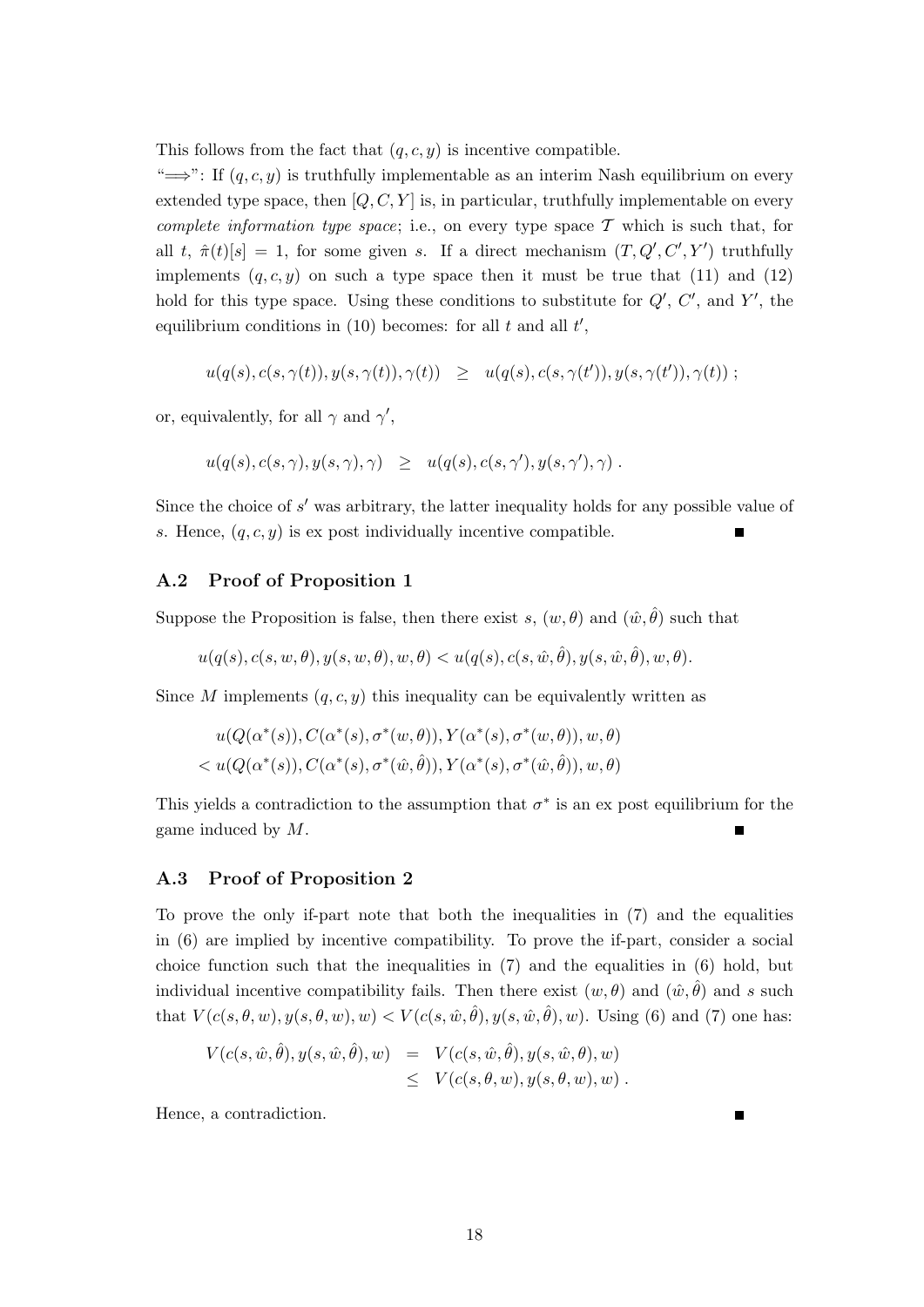This follows from the fact that  $(q, c, y)$  is incentive compatible.

" $\implies$ ": If  $(q, c, y)$  is truthfully implementable as an interim Nash equilibrium on every extended type space, then  $[Q, C, Y]$  is, in particular, truthfully implementable on every complete information type space; i.e., on every type space  $\mathcal T$  which is such that, for all t,  $\hat{\pi}(t)[s] = 1$ , for some given s. If a direct mechanism  $(T, Q', C', Y')$  truthfully implements  $(q, c, y)$  on such a type space then it must be true that (11) and (12) hold for this type space. Using these conditions to substitute for  $Q'$ ,  $C'$ , and  $Y'$ , the equilibrium conditions in  $(10)$  becomes: for all t and all  $t'$ ,

$$
u(q(s),c(s,\gamma(t)),y(s,\gamma(t)),\gamma(t)) \geq u(q(s),c(s,\gamma(t')),y(s,\gamma(t')), \gamma(t)) ;
$$

or, equivalently, for all  $\gamma$  and  $\gamma'$ ,

$$
u(q(s),c(s,\gamma),y(s,\gamma),\gamma) \geq u(q(s),c(s,\gamma'),y(s,\gamma'),\gamma).
$$

Since the choice of  $s'$  was arbitrary, the latter inequality holds for any possible value of s. Hence,  $(q, c, y)$  is expost individually incentive compatible.

#### A.2 Proof of Proposition 1

Suppose the Proposition is false, then there exist s,  $(w, \theta)$  and  $(\hat{w}, \hat{\theta})$  such that

 $u(q(s), c(s, w, \theta), y(s, w, \theta), w, \theta) < u(q(s), c(s, \hat{w}, \hat{\theta}), y(s, \hat{w}, \hat{\theta}), w, \theta).$ 

Since M implements  $(q, c, y)$  this inequality can be equivalently written as

$$
u(Q(\alpha^*(s)), C(\alpha^*(s), \sigma^*(w, \theta)), Y(\alpha^*(s), \sigma^*(w, \theta)), w, \theta)
$$
  

$$
< u(Q(\alpha^*(s)), C(\alpha^*(s), \sigma^*(\hat{w}, \hat{\theta})), Y(\alpha^*(s), \sigma^*(\hat{w}, \hat{\theta})), w, \theta)
$$

This yields a contradiction to the assumption that  $\sigma^*$  is an ex-post equilibrium for the game induced by M.

#### A.3 Proof of Proposition 2

To prove the only if-part note that both the inequalities in (7) and the equalities in (6) are implied by incentive compatibility. To prove the if-part, consider a social choice function such that the inequalities in  $(7)$  and the equalities in  $(6)$  hold, but individual incentive compatibility fails. Then there exist  $(w, \theta)$  and  $(\hat{w}, \hat{\theta})$  and s such that  $V(c(s, \theta, w), y(s, \theta, w), w) < V(c(s, \hat{w}, \hat{\theta}), y(s, \hat{w}, \hat{\theta}), w)$ . Using (6) and (7) one has:

$$
V(c(s, \hat{w}, \hat{\theta}), y(s, \hat{w}, \hat{\theta}), w) = V(c(s, \hat{w}, \hat{\theta}), y(s, \hat{w}, \theta), w)
$$
  

$$
\leq V(c(s, \theta, w), y(s, \theta, w), w).
$$

Hence, a contradiction.